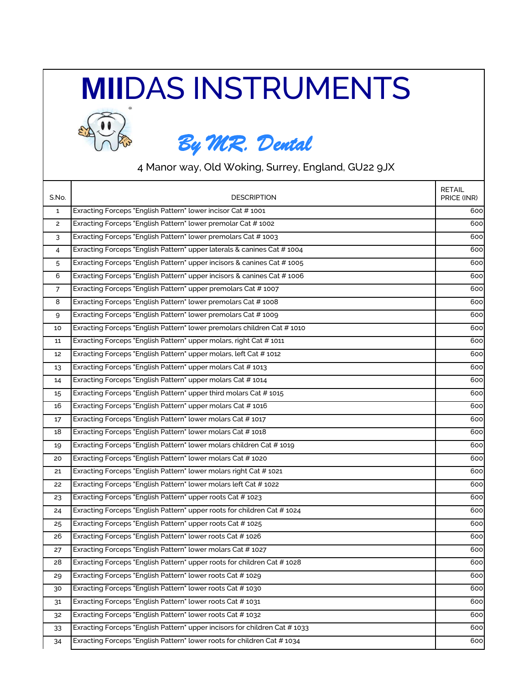## **MII**DAS INSTRUMENTS



## *By MR. Dental*

4 Manor way, Old Woking, Surrey, England, GU22 9JX

| S.No.          | <b>DESCRIPTION</b>                                                         | <b>RETAIL</b><br>PRICE (INR) |
|----------------|----------------------------------------------------------------------------|------------------------------|
| $\mathbf{1}$   | Exracting Forceps "English Pattern" lower incisor Cat #1001                | 600                          |
| $\mathbf{2}$   | Exracting Forceps "English Pattern" lower premolar Cat #1002               | 600                          |
| 3              | Exracting Forceps "English Pattern" lower premolars Cat # 1003             | 600                          |
| 4              | Exracting Forceps "English Pattern" upper laterals & canines Cat #1004     | 600                          |
| 5              | Exracting Forceps "English Pattern" upper incisors & canines Cat #1005     | 600                          |
| 6              | Exracting Forceps "English Pattern" upper incisors & canines Cat #1006     | 600                          |
| $\overline{7}$ | Exracting Forceps "English Pattern" upper premolars Cat #1007              | 600                          |
| 8              | Exracting Forceps "English Pattern" lower premolars Cat #1008              | 600                          |
| 9              | Exracting Forceps "English Pattern" lower premolars Cat # 1009             | 600                          |
| 10             | Exracting Forceps "English Pattern" lower premolars children Cat #1010     | 600                          |
| 11             | Exracting Forceps "English Pattern" upper molars, right Cat # 1011         | 600                          |
| 12             | Exracting Forceps "English Pattern" upper molars, left Cat # 1012          | 600                          |
| 13             | Exracting Forceps "English Pattern" upper molars Cat #1013                 | 600                          |
| 14             | Exracting Forceps "English Pattern" upper molars Cat #1014                 | 600                          |
| 15             | Exracting Forceps "English Pattern" upper third molars Cat #1015           | 600                          |
| 16             | Exracting Forceps "English Pattern" upper molars Cat #1016                 | 600                          |
| 17             | Exracting Forceps "English Pattern" lower molars Cat #1017                 | 600                          |
| 18             | Exracting Forceps "English Pattern" lower molars Cat #1018                 | 600                          |
| 19             | Exracting Forceps "English Pattern" lower molars children Cat # 1019       | 600                          |
| 20             | Exracting Forceps "English Pattern" lower molars Cat # 1020                | 600                          |
| 21             | Exracting Forceps "English Pattern" lower molars right Cat # 1021          | 600                          |
| 22             | Exracting Forceps "English Pattern" lower molars left Cat # 1022           | 600                          |
| 23             | Exracting Forceps "English Pattern" upper roots Cat #1023                  | 600                          |
| 24             | Exracting Forceps "English Pattern" upper roots for children Cat # 1024    | 600                          |
| 25             | Exracting Forceps "English Pattern" upper roots Cat #1025                  | 600                          |
| 26             | Exracting Forceps "English Pattern" lower roots Cat #1026                  | 600                          |
| 27             | Exracting Forceps "English Pattern" lower molars Cat # 1027                | 600                          |
| 28             | Exracting Forceps "English Pattern" upper roots for children Cat # 1028    | 600                          |
| 29             | Exracting Forceps "English Pattern" lower roots Cat #1029                  | 600                          |
| 30             | Exracting Forceps "English Pattern" lower roots Cat #1030                  | 600                          |
| 31             | Exracting Forceps "English Pattern" lower roots Cat #1031                  | 600                          |
| 32             | Exracting Forceps "English Pattern" lower roots Cat #1032                  | 600                          |
| 33             | Exracting Forceps "English Pattern" upper incisors for children Cat # 1033 | 600                          |
| 34             | Exracting Forceps "English Pattern" lower roots for children Cat #1034     | 600                          |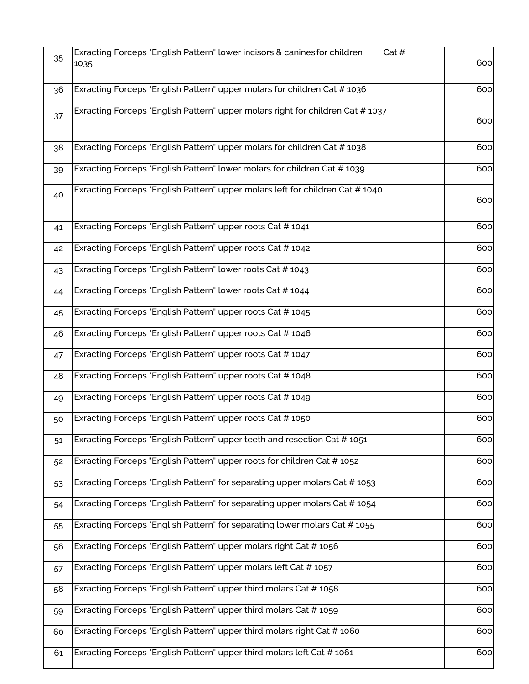| 35 | Exracting Forceps "English Pattern" lower incisors & canines for children<br>Cat#<br>1035 | 600 |
|----|-------------------------------------------------------------------------------------------|-----|
| 36 | Exracting Forceps "English Pattern" upper molars for children Cat #1036                   | 600 |
| 37 | Exracting Forceps "English Pattern" upper molars right for children Cat #1037             | 600 |
| 38 | Exracting Forceps "English Pattern" upper molars for children Cat #1038                   | 600 |
| 39 | Exracting Forceps "English Pattern" lower molars for children Cat # 1039                  | 600 |
| 40 | Exracting Forceps "English Pattern" upper molars left for children Cat #1040              | 600 |
| 41 | Exracting Forceps "English Pattern" upper roots Cat # 1041                                | 600 |
| 42 | Exracting Forceps "English Pattern" upper roots Cat #1042                                 | 600 |
| 43 | Exracting Forceps "English Pattern" lower roots Cat # 1043                                | 600 |
| 44 | Exracting Forceps "English Pattern" lower roots Cat #1044                                 | 600 |
| 45 | Exracting Forceps "English Pattern" upper roots Cat # 1045                                | 600 |
| 46 | Exracting Forceps "English Pattern" upper roots Cat #1046                                 | 600 |
| 47 | Exracting Forceps "English Pattern" upper roots Cat #1047                                 | 600 |
| 48 | Exracting Forceps "English Pattern" upper roots Cat #1048                                 | 600 |
| 49 | Exracting Forceps "English Pattern" upper roots Cat #1049                                 | 600 |
| 50 | Exracting Forceps "English Pattern" upper roots Cat #1050                                 | 600 |
| 51 | Exracting Forceps "English Pattern" upper teeth and resection Cat #1051                   | 600 |
| 52 | Exracting Forceps "English Pattern" upper roots for children Cat # 1052                   | 600 |
| 53 | Exracting Forceps "English Pattern" for separating upper molars Cat #1053                 | 600 |
| 54 | Exracting Forceps "English Pattern" for separating upper molars Cat # 1054                | 600 |
| 55 | Exracting Forceps "English Pattern" for separating lower molars Cat # 1055                | 600 |
| 56 | Exracting Forceps "English Pattern" upper molars right Cat #1056                          | 600 |
| 57 | Exracting Forceps "English Pattern" upper molars left Cat # 1057                          | 600 |
| 58 | Exracting Forceps "English Pattern" upper third molars Cat #1058                          | 600 |
| 59 | Exracting Forceps "English Pattern" upper third molars Cat #1059                          | 600 |
| 60 | Exracting Forceps "English Pattern" upper third molars right Cat #1060                    | 600 |
| 61 | Exracting Forceps "English Pattern" upper third molars left Cat # 1061                    | 600 |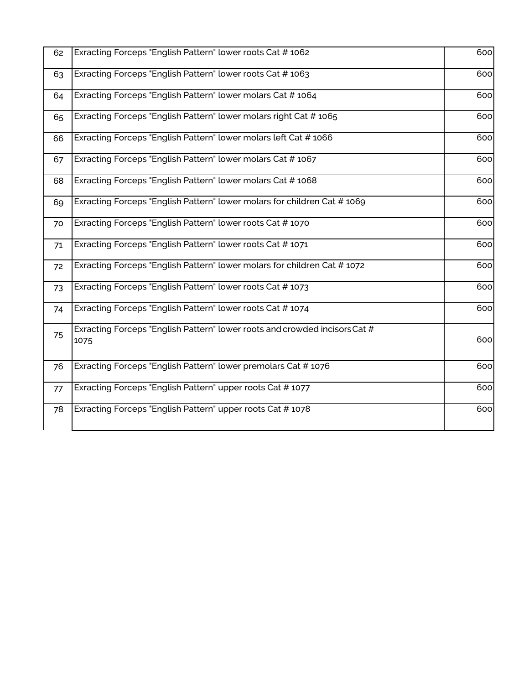| 62 | Exracting Forceps "English Pattern" lower roots Cat #1062                          | 600 |
|----|------------------------------------------------------------------------------------|-----|
| 63 | Exracting Forceps "English Pattern" lower roots Cat #1063                          | 600 |
| 64 | Exracting Forceps "English Pattern" lower molars Cat #1064                         | 600 |
| 65 | Exracting Forceps "English Pattern" lower molars right Cat #1065                   | 600 |
| 66 | Exracting Forceps "English Pattern" lower molars left Cat #1066                    | 600 |
| 67 | Exracting Forceps "English Pattern" lower molars Cat #1067                         | 600 |
| 68 | Exracting Forceps "English Pattern" lower molars Cat #1068                         | 600 |
| 69 | Exracting Forceps "English Pattern" lower molars for children Cat #1069            | 600 |
| 70 | Exracting Forceps "English Pattern" lower roots Cat # 1070                         | 600 |
| 71 | Exracting Forceps "English Pattern" lower roots Cat # 1071                         | 600 |
| 72 | Exracting Forceps "English Pattern" lower molars for children Cat # 1072           | 600 |
| 73 | Exracting Forceps "English Pattern" lower roots Cat # 1073                         | 600 |
| 74 | Exracting Forceps "English Pattern" lower roots Cat #1074                          | 600 |
| 75 | Exracting Forceps "English Pattern" lower roots and crowded incisors Cat #<br>1075 | 600 |
| 76 | Exracting Forceps "English Pattern" lower premolars Cat #1076                      | 600 |
| 77 | Exracting Forceps "English Pattern" upper roots Cat # 1077                         | 600 |
| 78 | Exracting Forceps "English Pattern" upper roots Cat #1078                          | 600 |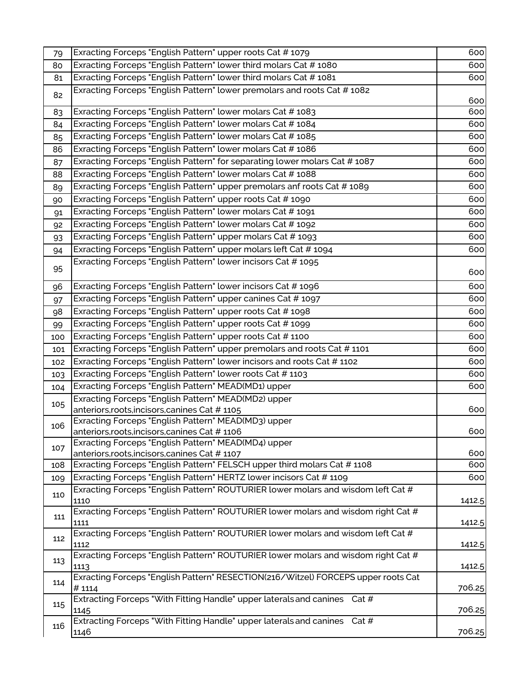| 79  | Exracting Forceps "English Pattern" upper roots Cat # 1079                                 | 600        |
|-----|--------------------------------------------------------------------------------------------|------------|
| 80  | Exracting Forceps "English Pattern" lower third molars Cat #1080                           | 600        |
| 81  | Exracting Forceps "English Pattern" lower third molars Cat #1081                           | 600        |
| 82  | Exracting Forceps "English Pattern" lower premolars and roots Cat #1082                    | 600        |
| 83  | Exracting Forceps "English Pattern" lower molars Cat #1083                                 | 600        |
| 84  | Exracting Forceps "English Pattern" lower molars Cat # 1084                                | 600        |
| 85  | Exracting Forceps "English Pattern" lower molars Cat # 1085                                | 600        |
| 86  | Exracting Forceps "English Pattern" lower molars Cat #1086                                 | 600        |
| 87  | Exracting Forceps "English Pattern" for separating lower molars Cat #1087                  | 600        |
| 88  | Exracting Forceps "English Pattern" lower molars Cat # 1088                                | 600        |
| 89  | Exracting Forceps "English Pattern" upper premolars anf roots Cat # 1089                   | 600        |
| 90  | Exracting Forceps "English Pattern" upper roots Cat # 1090                                 | 600        |
| 91  | Exracting Forceps "English Pattern" lower molars Cat # 1091                                | 600        |
| 92  | Exracting Forceps "English Pattern" lower molars Cat # 1092                                | 600        |
| 93  | Exracting Forceps "English Pattern" upper molars Cat # 1093                                | 600        |
| 94  | Exracting Forceps "English Pattern" upper molars left Cat # 1094                           | 600        |
| 95  | Exracting Forceps "English Pattern" lower incisors Cat # 1095                              | 600        |
|     | Exracting Forceps "English Pattern" lower incisors Cat # 1096                              | 600        |
| 96  | Exracting Forceps "English Pattern" upper canines Cat # 1097                               | 600        |
| 97  | Exracting Forceps "English Pattern" upper roots Cat # 1098                                 | 600        |
| 98  | Exracting Forceps "English Pattern" upper roots Cat # 1099                                 | 600        |
| 99  | Exracting Forceps "English Pattern" upper roots Cat # 1100                                 | 600        |
| 100 | Exracting Forceps "English Pattern" upper premolars and roots Cat # 1101                   |            |
| 101 | Exracting Forceps "English Pattern" lower incisors and roots Cat # 1102                    | 600<br>600 |
| 102 | Exracting Forceps "English Pattern" lower roots Cat #1103                                  | 600        |
| 103 | Exracting Forceps "English Pattern" MEAD(MD1) upper                                        | 600        |
| 104 | Exracting Forceps "English Pattern" MEAD(MD2) upper                                        |            |
| 105 | anteriors, roots, incisors, canines Cat #1105                                              | 600        |
|     | Exracting Forceps "English Pattern" MEAD(MD3) upper                                        |            |
| 106 | anteriors, roots, incisors, canines Cat #1106                                              | 600        |
| 107 | Exracting Forceps "English Pattern" MEAD(MD4) upper                                        |            |
|     | anteriors, roots, incisors, canines Cat #1107                                              | 600        |
| 108 | Exracting Forceps "English Pattern" FELSCH upper third molars Cat # 1108                   | 600        |
| 109 | Exracting Forceps "English Pattern" HERTZ lower incisors Cat # 1109                        | 600        |
| 110 | Exracting Forceps "English Pattern" ROUTURIER lower molars and wisdom left Cat #           |            |
|     | 1110<br>Exracting Forceps "English Pattern" ROUTURIER lower molars and wisdom right Cat #  | 1412.5     |
| 111 | 1111                                                                                       | 1412.5     |
| 112 | Exracting Forceps "English Pattern" ROUTURIER lower molars and wisdom left Cat #           |            |
|     | 1112                                                                                       | 1412.5     |
| 113 | Exracting Forceps "English Pattern" ROUTURIER lower molars and wisdom right Cat #<br>1113  | 1412.5     |
| 114 | Exracting Forceps "English Pattern" RESECTION(216/Witzel) FORCEPS upper roots Cat<br>#1114 | 706.25     |
| 115 | Extracting Forceps "With Fitting Handle" upper laterals and canines Cat #<br>1145          | 706.25     |
| 116 | Extracting Forceps "With Fitting Handle" upper laterals and canines Cat #                  |            |
|     | 1146                                                                                       | 706.25     |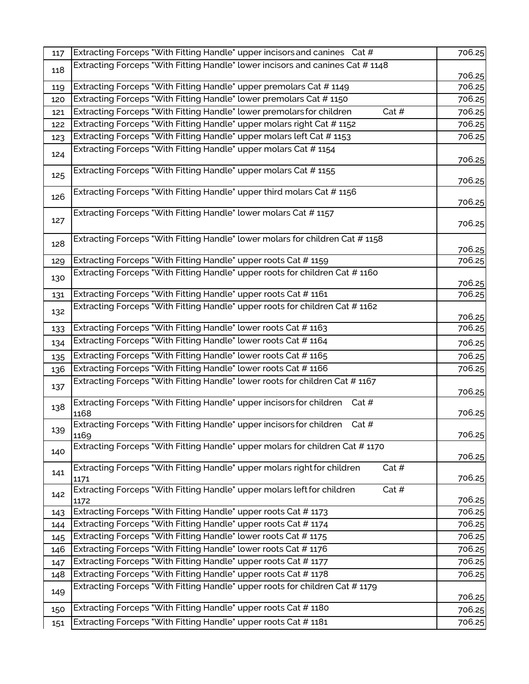| 117 | Extracting Forceps "With Fitting Handle" upper incisors and canines Cat #                 | 706.25 |
|-----|-------------------------------------------------------------------------------------------|--------|
| 118 | Extracting Forceps "With Fitting Handle" lower incisors and canines Cat #1148             |        |
|     |                                                                                           | 706.25 |
| 119 | Extracting Forceps "With Fitting Handle" upper premolars Cat # 1149                       | 706.25 |
| 120 | Extracting Forceps "With Fitting Handle" lower premolars Cat # 1150                       | 706.25 |
| 121 | Extracting Forceps "With Fitting Handle" lower premolars for children<br>Cat #            | 706.25 |
| 122 | Extracting Forceps "With Fitting Handle" upper molars right Cat # 1152                    | 706.25 |
| 123 | Extracting Forceps "With Fitting Handle" upper molars left Cat # 1153                     | 706.25 |
| 124 | Extracting Forceps "With Fitting Handle" upper molars Cat #1154                           | 706.25 |
| 125 | Extracting Forceps "With Fitting Handle" upper molars Cat # 1155                          | 706.25 |
| 126 | Extracting Forceps "With Fitting Handle" upper third molars Cat # 1156                    | 706.25 |
| 127 | Extracting Forceps "With Fitting Handle" lower molars Cat # 1157                          | 706.25 |
| 128 | Extracting Forceps "With Fitting Handle" lower molars for children Cat #1158              | 706.25 |
| 129 | Extracting Forceps "With Fitting Handle" upper roots Cat # 1159                           | 706.25 |
| 130 | Extracting Forceps "With Fitting Handle" upper roots for children Cat #1160               | 706.25 |
| 131 | Extracting Forceps "With Fitting Handle" upper roots Cat # 1161                           | 706.25 |
| 132 | Extracting Forceps "With Fitting Handle" upper roots for children Cat #1162               | 706.25 |
| 133 | Extracting Forceps "With Fitting Handle" lower roots Cat # 1163                           | 706.25 |
| 134 | Extracting Forceps "With Fitting Handle" lower roots Cat # 1164                           | 706.25 |
| 135 | Extracting Forceps "With Fitting Handle" lower roots Cat # 1165                           | 706.25 |
| 136 | Extracting Forceps "With Fitting Handle" lower roots Cat # 1166                           | 706.25 |
|     | Extracting Forceps "With Fitting Handle" lower roots for children Cat # 1167              |        |
| 137 |                                                                                           | 706.25 |
| 138 | Extracting Forceps "With Fitting Handle" upper incisors for children<br>Cat#<br>1168      | 706.25 |
| 139 | Extracting Forceps "With Fitting Handle" upper incisors for children<br>Cat #             |        |
|     | 1169                                                                                      | 706.25 |
| 140 | Extracting Forceps "With Fitting Handle" upper molars for children Cat #1170              | 706.25 |
| 141 | Extracting Forceps "With Fitting Handle" upper molars right for children<br>Cat #<br>1171 | 706.25 |
| 142 | Extracting Forceps "With Fitting Handle" upper molars left for children<br>Cat #<br>1172  | 706.25 |
| 143 | Extracting Forceps "With Fitting Handle" upper roots Cat # 1173                           | 706.25 |
| 144 | Extracting Forceps "With Fitting Handle" upper roots Cat # 1174                           | 706.25 |
| 145 | Extracting Forceps "With Fitting Handle" lower roots Cat # 1175                           | 706.25 |
| 146 | Extracting Forceps "With Fitting Handle" lower roots Cat # 1176                           | 706.25 |
| 147 | Extracting Forceps "With Fitting Handle" upper roots Cat # 1177                           | 706.25 |
| 148 | Extracting Forceps "With Fitting Handle" upper roots Cat # 1178                           | 706.25 |
| 149 | Extracting Forceps "With Fitting Handle" upper roots for children Cat #1179               | 706.25 |
| 150 | Extracting Forceps "With Fitting Handle" upper roots Cat #1180                            | 706.25 |
| 151 | Extracting Forceps "With Fitting Handle" upper roots Cat # 1181                           | 706.25 |
|     |                                                                                           |        |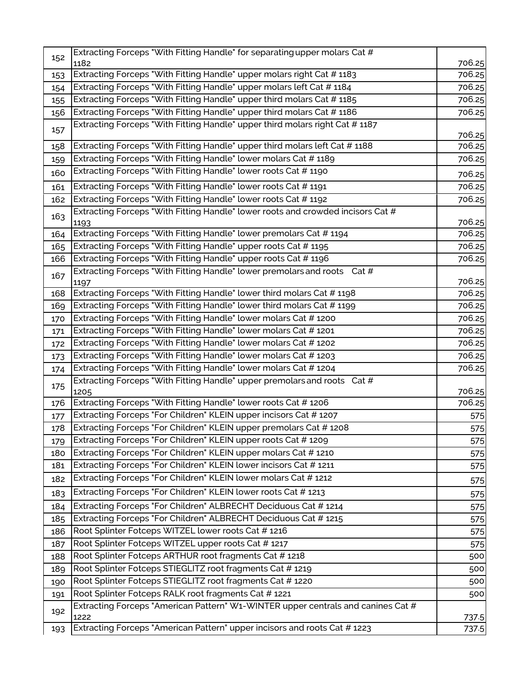| 152<br>1182<br>Extracting Forceps "With Fitting Handle" upper molars right Cat # 1183<br>153<br>Extracting Forceps "With Fitting Handle" upper molars left Cat # 1184<br>154<br>Extracting Forceps "With Fitting Handle" upper third molars Cat #1185<br>155<br>Extracting Forceps "With Fitting Handle" upper third molars Cat # 1186<br>156<br>Extracting Forceps "With Fitting Handle" upper third molars right Cat #1187<br>157 | 706.25<br>706.25<br>706.25<br>706.25<br>706.25<br>706.25<br>706.25<br>706.25<br>706.25<br>706.25<br>706.25 |
|-------------------------------------------------------------------------------------------------------------------------------------------------------------------------------------------------------------------------------------------------------------------------------------------------------------------------------------------------------------------------------------------------------------------------------------|------------------------------------------------------------------------------------------------------------|
|                                                                                                                                                                                                                                                                                                                                                                                                                                     |                                                                                                            |
|                                                                                                                                                                                                                                                                                                                                                                                                                                     |                                                                                                            |
|                                                                                                                                                                                                                                                                                                                                                                                                                                     |                                                                                                            |
|                                                                                                                                                                                                                                                                                                                                                                                                                                     |                                                                                                            |
|                                                                                                                                                                                                                                                                                                                                                                                                                                     |                                                                                                            |
|                                                                                                                                                                                                                                                                                                                                                                                                                                     |                                                                                                            |
| Extracting Forceps "With Fitting Handle" upper third molars left Cat # 1188<br>158                                                                                                                                                                                                                                                                                                                                                  |                                                                                                            |
| Extracting Forceps "With Fitting Handle" lower molars Cat # 1189<br>159                                                                                                                                                                                                                                                                                                                                                             |                                                                                                            |
| Extracting Forceps "With Fitting Handle" lower roots Cat # 1190<br>160                                                                                                                                                                                                                                                                                                                                                              |                                                                                                            |
| Extracting Forceps "With Fitting Handle" lower roots Cat # 1191<br>161                                                                                                                                                                                                                                                                                                                                                              |                                                                                                            |
| Extracting Forceps "With Fitting Handle" lower roots Cat # 1192<br>162                                                                                                                                                                                                                                                                                                                                                              |                                                                                                            |
| Extracting Forceps "With Fitting Handle" lower roots and crowded incisors Cat #<br>163<br>1193                                                                                                                                                                                                                                                                                                                                      | 706.25                                                                                                     |
| Extracting Forceps "With Fitting Handle" lower premolars Cat # 1194<br>164                                                                                                                                                                                                                                                                                                                                                          | 706.25                                                                                                     |
| Extracting Forceps "With Fitting Handle" upper roots Cat # 1195<br>165                                                                                                                                                                                                                                                                                                                                                              | 706.25                                                                                                     |
| Extracting Forceps "With Fitting Handle" upper roots Cat #1196<br>166                                                                                                                                                                                                                                                                                                                                                               | 706.25                                                                                                     |
| Extracting Forceps "With Fitting Handle" lower premolars and roots Cat #<br>167                                                                                                                                                                                                                                                                                                                                                     |                                                                                                            |
| 1197                                                                                                                                                                                                                                                                                                                                                                                                                                | 706.25                                                                                                     |
| Extracting Forceps "With Fitting Handle" lower third molars Cat # 1198<br>168                                                                                                                                                                                                                                                                                                                                                       | 706.25                                                                                                     |
| Extracting Forceps "With Fitting Handle" lower third molars Cat # 1199<br>169                                                                                                                                                                                                                                                                                                                                                       | 706.25                                                                                                     |
| Extracting Forceps "With Fitting Handle" lower molars Cat #1200<br>170                                                                                                                                                                                                                                                                                                                                                              | 706.25                                                                                                     |
| Extracting Forceps "With Fitting Handle" lower molars Cat # 1201<br>171                                                                                                                                                                                                                                                                                                                                                             | 706.25                                                                                                     |
| Extracting Forceps "With Fitting Handle" lower molars Cat # 1202<br>172                                                                                                                                                                                                                                                                                                                                                             | 706.25                                                                                                     |
| Extracting Forceps "With Fitting Handle" lower molars Cat #1203<br>173                                                                                                                                                                                                                                                                                                                                                              | 706.25                                                                                                     |
| Extracting Forceps "With Fitting Handle" lower molars Cat #1204<br>174                                                                                                                                                                                                                                                                                                                                                              | 706.25                                                                                                     |
| Extracting Forceps "With Fitting Handle" upper premolars and roots Cat #<br>175<br>1205                                                                                                                                                                                                                                                                                                                                             | 706.25                                                                                                     |
| Extracting Forceps "With Fitting Handle" lower roots Cat #1206<br>176                                                                                                                                                                                                                                                                                                                                                               | 706.25                                                                                                     |
| Extracting Forceps "For Children" KLEIN upper incisors Cat # 1207<br>177                                                                                                                                                                                                                                                                                                                                                            | 575                                                                                                        |
| Extracting Forceps "For Children" KLEIN upper premolars Cat #1208<br>178                                                                                                                                                                                                                                                                                                                                                            | 575                                                                                                        |
| Extracting Forceps "For Children" KLEIN upper roots Cat # 1209<br>179                                                                                                                                                                                                                                                                                                                                                               | 575                                                                                                        |
| Extracting Forceps "For Children" KLEIN upper molars Cat #1210<br>180                                                                                                                                                                                                                                                                                                                                                               | 575                                                                                                        |
| Extracting Forceps "For Children" KLEIN lower incisors Cat # 1211<br>181                                                                                                                                                                                                                                                                                                                                                            | 575                                                                                                        |
| Extracting Forceps "For Children" KLEIN lower molars Cat # 1212<br>182                                                                                                                                                                                                                                                                                                                                                              | 575                                                                                                        |
| Extracting Forceps "For Children" KLEIN lower roots Cat # 1213<br>183                                                                                                                                                                                                                                                                                                                                                               | 575                                                                                                        |
| Extracting Forceps "For Children" ALBRECHT Deciduous Cat # 1214<br>184                                                                                                                                                                                                                                                                                                                                                              | 575                                                                                                        |
| Extracting Forceps "For Children" ALBRECHT Deciduous Cat # 1215<br>185                                                                                                                                                                                                                                                                                                                                                              | 575                                                                                                        |
| Root Splinter Fotceps WITZEL lower roots Cat # 1216<br>186                                                                                                                                                                                                                                                                                                                                                                          | 575                                                                                                        |
| Root Splinter Fotceps WITZEL upper roots Cat # 1217<br>187                                                                                                                                                                                                                                                                                                                                                                          | 575                                                                                                        |
| Root Splinter Fotceps ARTHUR root fragments Cat #1218<br>188                                                                                                                                                                                                                                                                                                                                                                        | 500                                                                                                        |
| Root Splinter Fotceps STIEGLITZ root fragments Cat #1219<br>189                                                                                                                                                                                                                                                                                                                                                                     | 500                                                                                                        |
| Root Splinter Fotceps STIEGLITZ root fragments Cat #1220<br>190                                                                                                                                                                                                                                                                                                                                                                     | 500                                                                                                        |
| Root Splinter Fotceps RALK root fragments Cat #1221<br>191                                                                                                                                                                                                                                                                                                                                                                          | 500                                                                                                        |
| Extracting Forceps "American Pattern" W1-WINTER upper centrals and canines Cat #<br>192<br>1222                                                                                                                                                                                                                                                                                                                                     | 737.5                                                                                                      |
| Extracting Forceps "American Pattern" upper incisors and roots Cat #1223<br>193                                                                                                                                                                                                                                                                                                                                                     | 737.5                                                                                                      |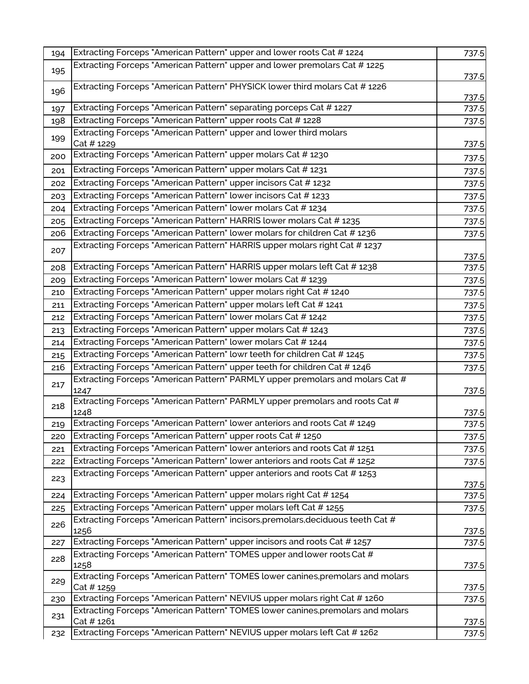| 194 | Extracting Forceps "American Pattern" upper and lower roots Cat # 1224                   | 737.5          |
|-----|------------------------------------------------------------------------------------------|----------------|
| 195 | Extracting Forceps "American Pattern" upper and lower premolars Cat # 1225               | 737.5          |
| 196 | Extracting Forceps "American Pattern" PHYSICK lower third molars Cat # 1226              | 737.5          |
| 197 | Extracting Forceps "American Pattern" separating porceps Cat # 1227                      | 737.5          |
| 198 | Extracting Forceps "American Pattern" upper roots Cat # 1228                             | 737.5          |
| 199 | Extracting Forceps "American Pattern" upper and lower third molars<br>Cat # 1229         | 737.5          |
| 200 | Extracting Forceps "American Pattern" upper molars Cat # 1230                            | 737.5          |
| 201 | Extracting Forceps "American Pattern" upper molars Cat # 1231                            | 737.5          |
| 202 | Extracting Forceps "American Pattern" upper incisors Cat # 1232                          | 737.5          |
| 203 | Extracting Forceps "American Pattern" lower incisors Cat # 1233                          | 737.5          |
| 204 | Extracting Forceps "American Pattern" lower molars Cat #1234                             | 737.5          |
| 205 | Extracting Forceps "American Pattern" HARRIS lower molars Cat # 1235                     | 737.5          |
| 206 | Extracting Forceps "American Pattern" lower molars for children Cat #1236                | 737.5          |
| 207 | Extracting Forceps "American Pattern" HARRIS upper molars right Cat # 1237               | 737.5          |
| 208 | Extracting Forceps "American Pattern" HARRIS upper molars left Cat # 1238                | 737.5          |
| 209 | Extracting Forceps "American Pattern" lower molars Cat # 1239                            | 737.5          |
| 210 | Extracting Forceps "American Pattern" upper molars right Cat # 1240                      | 737.5          |
| 211 | Extracting Forceps "American Pattern" upper molars left Cat # 1241                       | 737.5          |
| 212 | Extracting Forceps "American Pattern" lower molars Cat # 1242                            | 737.5          |
| 213 | Extracting Forceps "American Pattern" upper molars Cat # 1243                            | 737.5          |
| 214 | Extracting Forceps "American Pattern" lower molars Cat # 1244                            | 737.5          |
| 215 | Extracting Forceps "American Pattern" lowr teeth for children Cat # 1245                 | 737.5          |
| 216 | Extracting Forceps "American Pattern" upper teeth for children Cat # 1246                | 737.5          |
| 217 | Extracting Forceps "American Pattern" PARMLY upper premolars and molars Cat #<br>1247    | 737.5          |
| 218 | Extracting Forceps "American Pattern" PARMLY upper premolars and roots Cat #<br>1248     | 737.5          |
| 219 | Extracting Forceps "American Pattern" lower anteriors and roots Cat #1249                | 737.5          |
| 220 | Extracting Forceps "American Pattern" upper roots Cat # 1250                             | 737.5          |
| 221 | Extracting Forceps "American Pattern" lower anteriors and roots Cat #1251                | 737.5          |
| 222 | Extracting Forceps "American Pattern" lower anteriors and roots Cat #1252                | 737.5          |
| 223 | Extracting Forceps "American Pattern" upper anteriors and roots Cat #1253                | 737.5          |
| 224 | Extracting Forceps "American Pattern" upper molars right Cat # 1254                      | 737.5          |
| 225 | Extracting Forceps "American Pattern" upper molars left Cat # 1255                       | 737.5          |
| 226 | Extracting Forceps "American Pattern" incisors, premolars, deciduous teeth Cat #<br>1256 | 737.5          |
| 227 | Extracting Forceps "American Pattern" upper incisors and roots Cat #1257                 | 737.5          |
| 228 | Extracting Forceps "American Pattern" TOMES upper and lower roots Cat #<br>1258          |                |
| 229 | Extracting Forceps "American Pattern" TOMES lower canines, premolars and molars          | 737.5          |
| 230 | Cat # 1259<br>Extracting Forceps "American Pattern" NEVIUS upper molars right Cat # 1260 | 737.5<br>737.5 |
|     | Extracting Forceps "American Pattern" TOMES lower canines, premolars and molars          |                |
| 231 | Cat # 1261                                                                               | 737.5          |
| 232 | Extracting Forceps "American Pattern" NEVIUS upper molars left Cat # 1262                | 737.5          |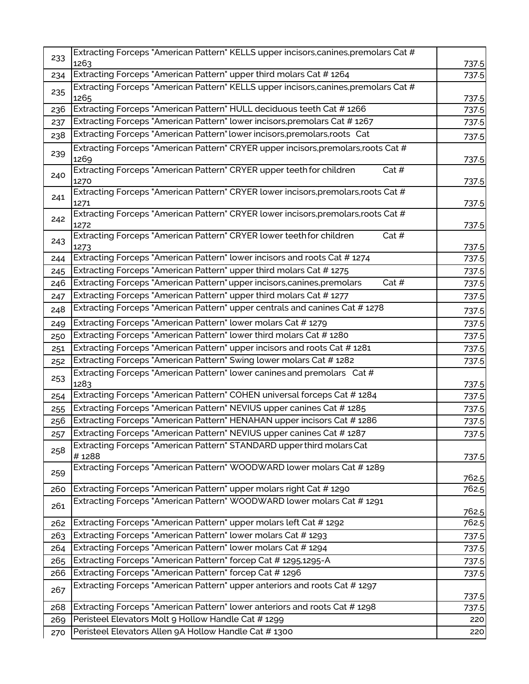| 233 | Extracting Forceps "American Pattern" KELLS upper incisors, canines, premolars Cat #                                                          |                |
|-----|-----------------------------------------------------------------------------------------------------------------------------------------------|----------------|
|     | 1263                                                                                                                                          | 737.5          |
| 234 | Extracting Forceps "American Pattern" upper third molars Cat #1264                                                                            | 737.5          |
| 235 | Extracting Forceps "American Pattern" KELLS upper incisors,canines,premolars Cat #<br>1265                                                    | 737.5          |
| 236 | Extracting Forceps "American Pattern" HULL deciduous teeth Cat # 1266                                                                         | 737.5          |
| 237 | Extracting Forceps "American Pattern" lower incisors, premolars Cat #1267                                                                     | 737.5          |
| 238 | Extracting Forceps "American Pattern" lower incisors, premolars, roots Cat                                                                    | 737.5          |
| 239 | Extracting Forceps "American Pattern" CRYER upper incisors, premolars, roots Cat #<br>1269                                                    | 737.5          |
| 240 | Extracting Forceps "American Pattern" CRYER upper teeth for children<br>Cat $#$<br>1270                                                       | 737.5          |
| 241 | Extracting Forceps "American Pattern" CRYER lower incisors, premolars, roots Cat #                                                            |                |
|     | 1271                                                                                                                                          | 737.5          |
| 242 | Extracting Forceps "American Pattern" CRYER lower incisors, premolars, roots Cat #<br>1272                                                    | 737.5          |
| 243 | Extracting Forceps "American Pattern" CRYER lower teeth for children<br>Cat $#$                                                               |                |
| 244 | 1273<br>Extracting Forceps "American Pattern" lower incisors and roots Cat #1274                                                              | 737.5<br>737.5 |
| 245 | Extracting Forceps "American Pattern" upper third molars Cat #1275                                                                            | 737.5          |
| 246 | Cat $#$<br>Extracting Forceps "American Pattern" upper incisors, canines, premolars                                                           | 737.5          |
| 247 | Extracting Forceps "American Pattern" upper third molars Cat # 1277                                                                           | 737.5          |
| 248 | Extracting Forceps "American Pattern" upper centrals and canines Cat #1278                                                                    | 737.5          |
| 249 | Extracting Forceps "American Pattern" lower molars Cat # 1279                                                                                 | 737.5          |
| 250 | Extracting Forceps "American Pattern" lower third molars Cat #1280                                                                            | 737.5          |
| 251 | Extracting Forceps "American Pattern" upper incisors and roots Cat #1281                                                                      | 737.5          |
| 252 | Extracting Forceps "American Pattern" Swing lower molars Cat # 1282                                                                           | 737.5          |
| 253 | Extracting Forceps "American Pattern" lower canines and premolars Cat #                                                                       |                |
|     | 1283<br>Extracting Forceps "American Pattern" COHEN universal forceps Cat #1284                                                               | 737.5          |
| 254 | Extracting Forceps "American Pattern" NEVIUS upper canines Cat # 1285                                                                         | 737.5          |
| 255 | Extracting Forceps "American Pattern" HENAHAN upper incisors Cat #1286                                                                        | 737.5          |
| 256 | Extracting Forceps "American Pattern" NEVIUS upper canines Cat # 1287                                                                         | 737.5<br>737.5 |
| 257 | Extracting Forceps "American Pattern" STANDARD upper third molars Cat                                                                         |                |
| 258 | #1288                                                                                                                                         | 737.5          |
| 259 | Extracting Forceps "American Pattern" WOODWARD lower molars Cat #1289                                                                         |                |
|     |                                                                                                                                               | 762.5          |
| 260 | Extracting Forceps "American Pattern" upper molars right Cat # 1290<br>Extracting Forceps "American Pattern" WOODWARD lower molars Cat # 1291 | 762.5          |
| 261 |                                                                                                                                               | 762.5          |
| 262 | Extracting Forceps "American Pattern" upper molars left Cat # 1292                                                                            | 762.5          |
| 263 | Extracting Forceps "American Pattern" lower molars Cat # 1293                                                                                 | 737.5          |
| 264 | Extracting Forceps "American Pattern" lower molars Cat #1294                                                                                  | 737.5          |
| 265 | Extracting Forceps "American Pattern" forcep Cat # 1295,1295-A                                                                                | 737.5          |
| 266 | Extracting Forceps "American Pattern" forcep Cat # 1296                                                                                       | 737.5          |
| 267 | Extracting Forceps "American Pattern" upper anteriors and roots Cat # 1297                                                                    | 737.5          |
| 268 | Extracting Forceps "American Pattern" lower anteriors and roots Cat #1298                                                                     | 737.5          |
| 269 | Peristeel Elevators Molt 9 Hollow Handle Cat # 1299                                                                                           | 220            |
| 270 | Peristeel Elevators Allen 9A Hollow Handle Cat # 1300                                                                                         | 220            |
|     |                                                                                                                                               |                |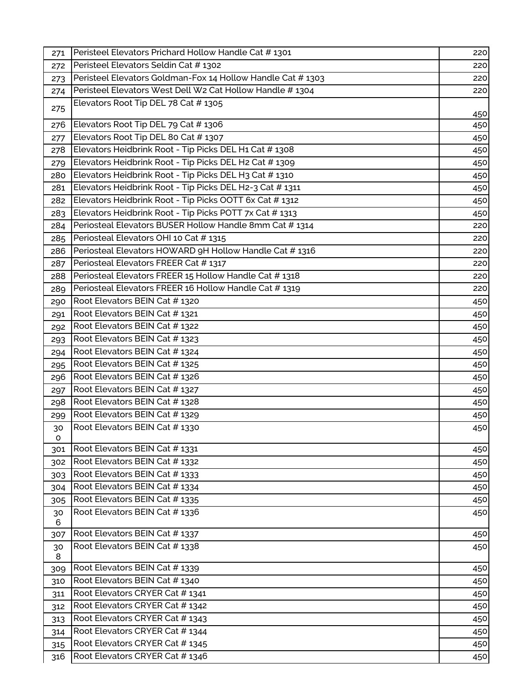| 271     | Peristeel Elevators Prichard Hollow Handle Cat #1301        | 220 |
|---------|-------------------------------------------------------------|-----|
| 272     | Peristeel Elevators Seldin Cat # 1302                       | 220 |
| 273     | Peristeel Elevators Goldman-Fox 14 Hollow Handle Cat # 1303 | 220 |
| 274     | Peristeel Elevators West Dell W2 Cat Hollow Handle # 1304   | 220 |
| 275     | Elevators Root Tip DEL 78 Cat # 1305                        |     |
|         |                                                             | 450 |
| 276     | Elevators Root Tip DEL 79 Cat #1306                         | 450 |
| 277     | Elevators Root Tip DEL 80 Cat # 1307                        | 450 |
| 278     | Elevators Heidbrink Root - Tip Picks DEL H1 Cat # 1308      | 450 |
| 279     | Elevators Heidbrink Root - Tip Picks DEL H2 Cat # 1309      | 450 |
| 280     | Elevators Heidbrink Root - Tip Picks DEL H3 Cat # 1310      | 450 |
| 281     | Elevators Heidbrink Root - Tip Picks DEL H2-3 Cat # 1311    | 450 |
| 282     | Elevators Heidbrink Root - Tip Picks OOTT 6x Cat # 1312     | 450 |
| 283     | Elevators Heidbrink Root - Tip Picks POTT 7x Cat # 1313     | 450 |
| 284     | Periosteal Elevators BUSER Hollow Handle 8mm Cat #1314      | 220 |
| 285     | Periosteal Elevators OHI 10 Cat # 1315                      | 220 |
| 286     | Periosteal Elevators HOWARD 9H Hollow Handle Cat #1316      | 220 |
| 287     | Periosteal Elevators FREER Cat # 1317                       | 220 |
| 288     | Periosteal Elevators FREER 15 Hollow Handle Cat # 1318      | 220 |
| 289     | Periosteal Elevators FREER 16 Hollow Handle Cat # 1319      | 220 |
| 290     | Root Elevators BEIN Cat #1320                               | 450 |
| 291     | Root Elevators BEIN Cat # 1321                              | 450 |
| 292     | Root Elevators BEIN Cat # 1322                              | 450 |
| 293     | Root Elevators BEIN Cat # 1323                              | 450 |
| 294     | Root Elevators BEIN Cat #1324                               | 450 |
| 295     | Root Elevators BEIN Cat #1325                               | 450 |
| 296     | Root Elevators BEIN Cat #1326                               | 450 |
| 297     | Root Elevators BEIN Cat # 1327                              | 450 |
| 298     | Root Elevators BEIN Cat #1328                               | 450 |
| 299     | Root Elevators BEIN Cat # 1329                              | 450 |
| 30      | Root Elevators BEIN Cat # 1330                              | 450 |
| o       |                                                             |     |
| 301     | Root Elevators BEIN Cat # 1331                              | 450 |
| 302     | Root Elevators BEIN Cat # 1332                              | 450 |
| 303     | Root Elevators BEIN Cat # 1333                              | 450 |
| 304     | Root Elevators BEIN Cat #1334                               | 450 |
| 305     | Root Elevators BEIN Cat # 1335                              | 450 |
| 30      | Root Elevators BEIN Cat #1336                               | 450 |
| 6       |                                                             |     |
| 307     | Root Elevators BEIN Cat #1337                               | 450 |
| 30<br>8 | Root Elevators BEIN Cat #1338                               | 450 |
| 309     | Root Elevators BEIN Cat # 1339                              | 450 |
| 310     | Root Elevators BEIN Cat #1340                               | 450 |
| 311     | Root Elevators CRYER Cat #1341                              | 450 |
| 312     | Root Elevators CRYER Cat #1342                              | 450 |
| 313     | Root Elevators CRYER Cat #1343                              | 450 |
| 314     | Root Elevators CRYER Cat #1344                              | 450 |
| 315     | Root Elevators CRYER Cat #1345                              | 450 |
| 316     | Root Elevators CRYER Cat #1346                              | 450 |
|         |                                                             |     |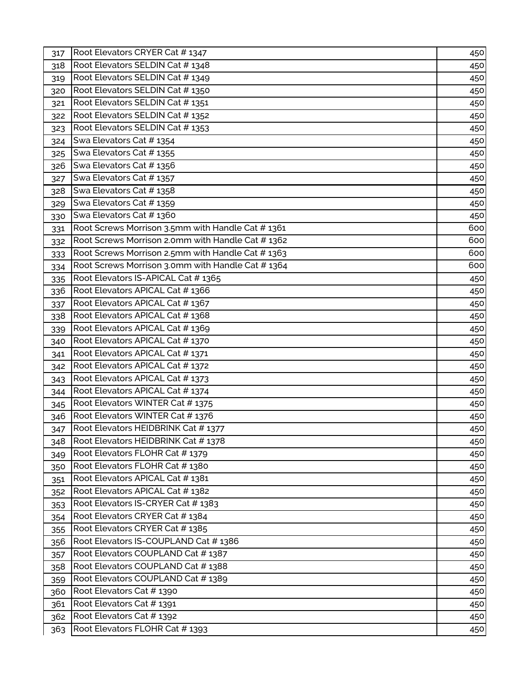| 317 | Root Elevators CRYER Cat #1347                   | 450 |
|-----|--------------------------------------------------|-----|
| 318 | Root Elevators SELDIN Cat #1348                  | 450 |
| 319 | Root Elevators SELDIN Cat #1349                  | 450 |
| 320 | Root Elevators SELDIN Cat #1350                  | 450 |
| 321 | Root Elevators SELDIN Cat # 1351                 | 450 |
| 322 | Root Elevators SELDIN Cat # 1352                 | 450 |
| 323 | Root Elevators SELDIN Cat # 1353                 | 450 |
| 324 | Swa Elevators Cat #1354                          | 450 |
| 325 | Swa Elevators Cat #1355                          | 450 |
| 326 | Swa Elevators Cat #1356                          | 450 |
| 327 | Swa Elevators Cat #1357                          | 450 |
| 328 | Swa Elevators Cat #1358                          | 450 |
| 329 | Swa Elevators Cat #1359                          | 450 |
| 330 | Swa Elevators Cat #1360                          | 450 |
| 331 | Root Screws Morrison 3.5mm with Handle Cat #1361 | 600 |
| 332 | Root Screws Morrison 2.0mm with Handle Cat #1362 | 600 |
| 333 | Root Screws Morrison 2.5mm with Handle Cat #1363 | 600 |
| 334 | Root Screws Morrison 3.0mm with Handle Cat #1364 | 600 |
| 335 | Root Elevators IS-APICAL Cat #1365               | 450 |
| 336 | Root Elevators APICAL Cat #1366                  | 450 |
| 337 | Root Elevators APICAL Cat #1367                  | 450 |
| 338 | Root Elevators APICAL Cat #1368                  | 450 |
| 339 | Root Elevators APICAL Cat #1369                  | 450 |
| 340 | Root Elevators APICAL Cat #1370                  | 450 |
| 341 | Root Elevators APICAL Cat #1371                  | 450 |
| 342 | Root Elevators APICAL Cat #1372                  | 450 |
| 343 | Root Elevators APICAL Cat # 1373                 | 450 |
| 344 | Root Elevators APICAL Cat #1374                  | 450 |
| 345 | Root Elevators WINTER Cat # 1375                 | 450 |
| 346 | Root Elevators WINTER Cat # 1376                 | 450 |
| 347 | Root Elevators HEIDBRINK Cat #1377               | 450 |
| 348 | Root Elevators HEIDBRINK Cat #1378               | 450 |
| 349 | Root Elevators FLOHR Cat #1379                   | 450 |
| 350 | Root Elevators FLOHR Cat #1380                   | 450 |
| 351 | Root Elevators APICAL Cat #1381                  | 450 |
| 352 | Root Elevators APICAL Cat #1382                  | 450 |
| 353 | Root Elevators IS-CRYER Cat #1383                | 450 |
| 354 | Root Elevators CRYER Cat #1384                   | 450 |
| 355 | Root Elevators CRYER Cat #1385                   | 450 |
| 356 | Root Elevators IS-COUPLAND Cat #1386             | 450 |
| 357 | Root Elevators COUPLAND Cat #1387                | 450 |
| 358 | Root Elevators COUPLAND Cat #1388                | 450 |
| 359 | Root Elevators COUPLAND Cat #1389                | 450 |
| 360 | Root Elevators Cat #1390                         | 450 |
| 361 | Root Elevators Cat #1391                         | 450 |
| 362 | Root Elevators Cat #1392                         | 450 |
| 363 | Root Elevators FLOHR Cat # 1393                  | 450 |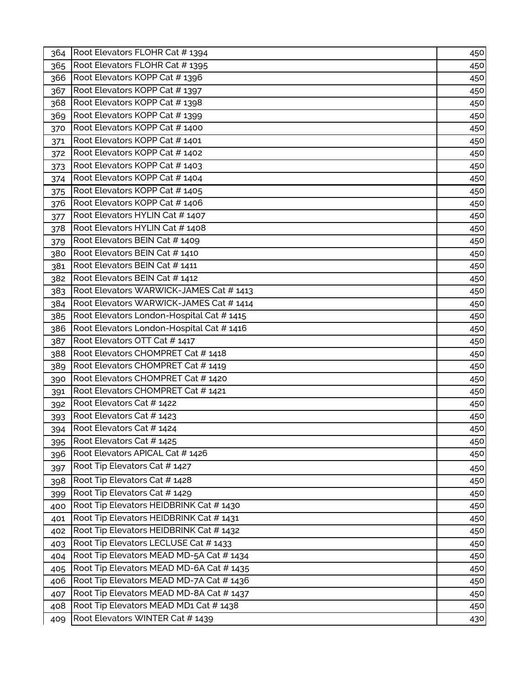| 364 | Root Elevators FLOHR Cat #1394            | 450 |
|-----|-------------------------------------------|-----|
| 365 | Root Elevators FLOHR Cat # 1395           | 450 |
| 366 | Root Elevators KOPP Cat #1396             | 450 |
| 367 | Root Elevators KOPP Cat #1397             | 450 |
| 368 | Root Elevators KOPP Cat #1398             | 450 |
| 369 | Root Elevators KOPP Cat #1399             | 450 |
| 370 | Root Elevators KOPP Cat #1400             | 450 |
| 371 | Root Elevators KOPP Cat #1401             | 450 |
| 372 | Root Elevators KOPP Cat #1402             | 450 |
| 373 | Root Elevators KOPP Cat #1403             | 450 |
| 374 | Root Elevators KOPP Cat #1404             | 450 |
| 375 | Root Elevators KOPP Cat #1405             | 450 |
| 376 | Root Elevators KOPP Cat #1406             | 450 |
| 377 | Root Elevators HYLIN Cat #1407            | 450 |
| 378 | Root Elevators HYLIN Cat #1408            | 450 |
| 379 | Root Elevators BEIN Cat # 1409            | 450 |
| 380 | Root Elevators BEIN Cat # 1410            | 450 |
| 381 | Root Elevators BEIN Cat # 1411            | 450 |
| 382 | Root Elevators BEIN Cat # 1412            | 450 |
| 383 | Root Elevators WARWICK-JAMES Cat #1413    | 450 |
| 384 | Root Elevators WARWICK-JAMES Cat #1414    | 450 |
| 385 | Root Elevators London-Hospital Cat # 1415 | 450 |
| 386 | Root Elevators London-Hospital Cat # 1416 | 450 |
| 387 | Root Elevators OTT Cat # 1417             | 450 |
| 388 | Root Elevators CHOMPRET Cat # 1418        | 450 |
| 389 | Root Elevators CHOMPRET Cat #1419         | 450 |
| 390 | Root Elevators CHOMPRET Cat # 1420        | 450 |
| 391 | Root Elevators CHOMPRET Cat #1421         | 450 |
| 392 | Root Elevators Cat # 1422                 | 450 |
| 393 | Root Elevators Cat # 1423                 | 450 |
| 394 | Root Elevators Cat # 1424                 | 450 |
| 395 | Root Elevators Cat #1425                  | 450 |
| 396 | Root Elevators APICAL Cat #1426           | 450 |
| 397 | Root Tip Elevators Cat #1427              | 450 |
| 398 | Root Tip Elevators Cat #1428              | 450 |
| 399 | Root Tip Elevators Cat # 1429             | 450 |
| 400 | Root Tip Elevators HEIDBRINK Cat #1430    | 450 |
| 401 | Root Tip Elevators HEIDBRINK Cat # 1431   | 450 |
| 402 | Root Tip Elevators HEIDBRINK Cat #1432    | 450 |
| 403 | Root Tip Elevators LECLUSE Cat # 1433     | 450 |
| 404 | Root Tip Elevators MEAD MD-5A Cat # 1434  | 450 |
| 405 | Root Tip Elevators MEAD MD-6A Cat #1435   | 450 |
| 406 | Root Tip Elevators MEAD MD-7A Cat # 1436  | 450 |
| 407 | Root Tip Elevators MEAD MD-8A Cat #1437   | 450 |
| 408 | Root Tip Elevators MEAD MD1 Cat #1438     | 450 |
| 409 | Root Elevators WINTER Cat # 1439          | 430 |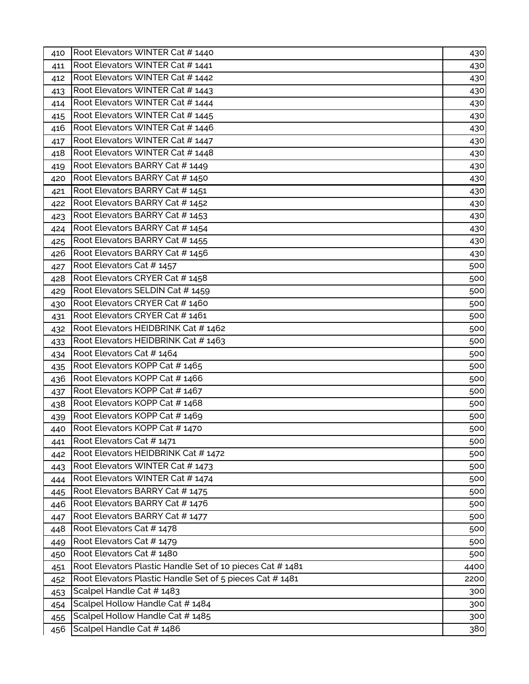| 410 | Root Elevators WINTER Cat #1440                          | 430  |
|-----|----------------------------------------------------------|------|
| 411 | Root Elevators WINTER Cat # 1441                         | 430  |
| 412 | Root Elevators WINTER Cat # 1442                         | 430  |
| 413 | Root Elevators WINTER Cat # 1443                         | 430  |
| 414 | Root Elevators WINTER Cat # 1444                         | 430  |
| 415 | Root Elevators WINTER Cat # 1445                         | 430  |
| 416 | Root Elevators WINTER Cat # 1446                         | 430  |
| 417 | Root Elevators WINTER Cat # 1447                         | 430  |
| 418 | Root Elevators WINTER Cat #1448                          | 430  |
| 419 | Root Elevators BARRY Cat #1449                           | 430  |
| 420 | Root Elevators BARRY Cat #1450                           | 430  |
| 421 | Root Elevators BARRY Cat # 1451                          | 430  |
| 422 | Root Elevators BARRY Cat #1452                           | 430  |
| 423 | Root Elevators BARRY Cat #1453                           | 430  |
| 424 | Root Elevators BARRY Cat # 1454                          | 430  |
| 425 | Root Elevators BARRY Cat #1455                           | 430  |
| 426 | Root Elevators BARRY Cat #1456                           | 430  |
| 427 | Root Elevators Cat # 1457                                | 500  |
| 428 | Root Elevators CRYER Cat #1458                           | 500  |
| 429 | Root Elevators SELDIN Cat # 1459                         | 500  |
| 430 | Root Elevators CRYER Cat #1460                           | 500  |
| 431 | Root Elevators CRYER Cat #1461                           | 500  |
| 432 | Root Elevators HEIDBRINK Cat #1462                       | 500  |
| 433 | Root Elevators HEIDBRINK Cat #1463                       | 500  |
| 434 | Root Elevators Cat #1464                                 | 500  |
| 435 | Root Elevators KOPP Cat #1465                            | 500  |
| 436 | Root Elevators KOPP Cat #1466                            | 500  |
| 437 | Root Elevators KOPP Cat #1467                            | 500  |
| 438 | Root Elevators KOPP Cat #1468                            | 500  |
| 439 | Root Elevators KOPP Cat #1469                            | 500  |
| 440 | Root Elevators KOPP Cat #1470                            | 500  |
| 441 | Root Elevators Cat # 1471                                | 500  |
| 442 | Root Elevators HEIDBRINK Cat #1472                       | 500  |
| 443 | Root Elevators WINTER Cat # 1473                         | 500  |
| 444 | Root Elevators WINTER Cat #1474                          | 500  |
| 445 | Root Elevators BARRY Cat #1475                           | 500  |
| 446 | Root Elevators BARRY Cat #1476                           | 500  |
| 447 | Root Elevators BARRY Cat #1477                           | 500  |
| 448 | Root Elevators Cat # 1478                                | 500  |
| 449 | Root Elevators Cat #1479                                 | 500  |
| 450 | Root Elevators Cat #1480                                 | 500  |
| 451 | Root Elevators Plastic Handle Set of 10 pieces Cat #1481 | 4400 |
| 452 | Root Elevators Plastic Handle Set of 5 pieces Cat # 1481 | 2200 |
| 453 | Scalpel Handle Cat #1483                                 | 300  |
| 454 | Scalpel Hollow Handle Cat #1484                          | 300  |
| 455 | Scalpel Hollow Handle Cat # 1485                         | 300  |
| 456 | Scalpel Handle Cat #1486                                 | 380  |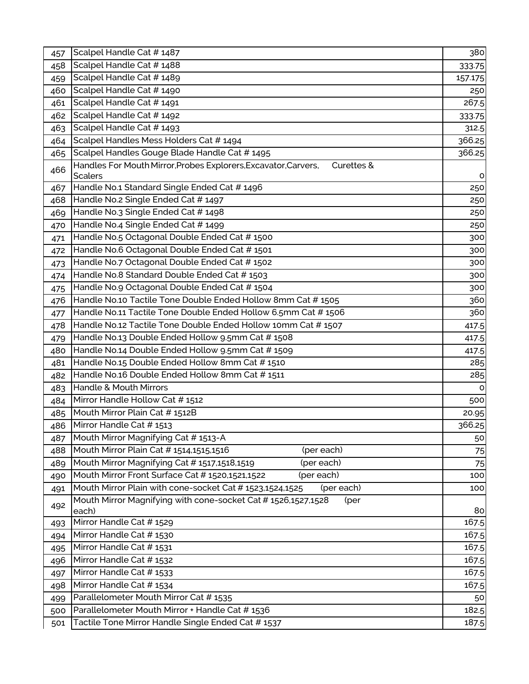| 457 | Scalpel Handle Cat #1487                                                       | 380     |
|-----|--------------------------------------------------------------------------------|---------|
| 458 | Scalpel Handle Cat #1488                                                       | 333.75  |
| 459 | Scalpel Handle Cat # 1489                                                      | 157.175 |
| 460 | Scalpel Handle Cat #1490                                                       | 250     |
| 461 | Scalpel Handle Cat # 1491                                                      | 267.5   |
| 462 | Scalpel Handle Cat # 1492                                                      | 333.75  |
| 463 | Scalpel Handle Cat #1493                                                       | 312.5   |
| 464 | Scalpel Handles Mess Holders Cat # 1494                                        | 366.25  |
| 465 | Scalpel Handles Gouge Blade Handle Cat #1495                                   | 366.25  |
| 466 | Handles For Mouth Mirror, Probes Explorers, Excavator, Carvers,<br>Curettes &  |         |
|     | <b>Scalers</b>                                                                 | o       |
| 467 | Handle No.1 Standard Single Ended Cat # 1496                                   | 250     |
| 468 | Handle No.2 Single Ended Cat # 1497                                            | 250     |
| 469 | Handle No.3 Single Ended Cat # 1498                                            | 250     |
| 470 | Handle No.4 Single Ended Cat # 1499                                            | 250     |
| 471 | Handle No.5 Octagonal Double Ended Cat #1500                                   | 300     |
| 472 | Handle No.6 Octagonal Double Ended Cat #1501                                   | 300     |
| 473 | Handle No.7 Octagonal Double Ended Cat # 1502                                  | 300     |
| 474 | Handle No.8 Standard Double Ended Cat #1503                                    | 300     |
| 475 | Handle No.9 Octagonal Double Ended Cat #1504                                   | 300     |
| 476 | Handle No.10 Tactile Tone Double Ended Hollow 8mm Cat # 1505                   | 360     |
| 477 | Handle No.11 Tactile Tone Double Ended Hollow 6.5mm Cat #1506                  | 360     |
| 478 | Handle No.12 Tactile Tone Double Ended Hollow 10mm Cat # 1507                  | 417.5   |
| 479 | Handle No.13 Double Ended Hollow 9.5mm Cat #1508                               | 417.5   |
| 480 | Handle No.14 Double Ended Hollow 9.5mm Cat # 1509                              | 417.5   |
| 481 | Handle No.15 Double Ended Hollow 8mm Cat #1510                                 | 285     |
| 482 | Handle No.16 Double Ended Hollow 8mm Cat #1511                                 | 285     |
| 483 | Handle & Mouth Mirrors                                                         | O       |
| 484 | Mirror Handle Hollow Cat # 1512                                                | 500     |
| 485 | Mouth Mirror Plain Cat # 1512B                                                 | 20.95   |
| 486 | Mirror Handle Cat # 1513                                                       | 366.25  |
| 487 | Mouth Mirror Magnifying Cat #1513-A                                            | 50      |
| 488 | Mouth Mirror Plain Cat # 1514,1515,1516<br>(per each)                          | 75      |
| 489 | Mouth Mirror Magnifying Cat #1517,1518,1519<br>(per each)                      | 75      |
| 490 | Mouth Mirror Front Surface Cat # 1520,1521,1522<br>(per each)                  | 100     |
| 491 | Mouth Mirror Plain with cone-socket Cat # 1523,1524,1525<br>(per each)         | 100     |
| 492 | Mouth Mirror Magnifying with cone-socket Cat # 1526,1527,1528<br>(per<br>each) | 80      |
| 493 | Mirror Handle Cat # 1529                                                       | 167.5   |
| 494 | Mirror Handle Cat #1530                                                        | 167.5   |
| 495 | Mirror Handle Cat #1531                                                        | 167.5   |
| 496 | Mirror Handle Cat # 1532                                                       | 167.5   |
| 497 | Mirror Handle Cat # 1533                                                       | 167.5   |
| 498 | Mirror Handle Cat #1534                                                        | 167.5   |
| 499 | Parallelometer Mouth Mirror Cat # 1535                                         | 50      |
| 500 | Parallelometer Mouth Mirror + Handle Cat #1536                                 | 182.5   |
| 501 | Tactile Tone Mirror Handle Single Ended Cat # 1537                             | 187.5   |
|     |                                                                                |         |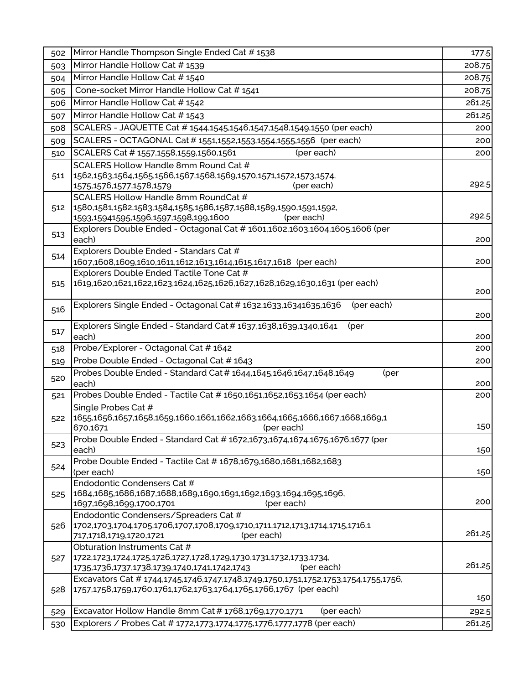| 502        | Mirror Handle Thompson Single Ended Cat #1538                                                                                                           | 177.5           |
|------------|---------------------------------------------------------------------------------------------------------------------------------------------------------|-----------------|
| 503        | Mirror Handle Hollow Cat #1539                                                                                                                          | 208.75          |
| 504        | Mirror Handle Hollow Cat #1540                                                                                                                          | 208.75          |
| 505        | Cone-socket Mirror Handle Hollow Cat #1541                                                                                                              | 208.75          |
| 506        | Mirror Handle Hollow Cat # 1542                                                                                                                         | 261.25          |
| 507        | Mirror Handle Hollow Cat #1543                                                                                                                          | 261.25          |
| 508        | SCALERS - JAQUETTE Cat # 1544,1545,1546,1547,1548,1549,1550 (per each)                                                                                  | 200             |
| 509        | SCALERS - OCTAGONAL Cat # 1551,1552,1553,1554,1555,1556 (per each)                                                                                      | 200             |
| 510        | SCALERS Cat # 1557,1558,1559,1560,1561<br>(per each)                                                                                                    | 200             |
|            | SCALERS Hollow Handle 8mm Round Cat #                                                                                                                   |                 |
| 511        | 1562,1563,1564,1565,1566,1567,1568,1569,1570,1571,1572,1573,1574,                                                                                       |                 |
|            | 1575, 1576, 1577, 1578, 1579<br>(per each)                                                                                                              | 292.5           |
|            | SCALERS Hollow Handle 8mm RoundCat #                                                                                                                    |                 |
| 512        | 1580,1581,1582,1583,1584,1585,1586,1587,1588,1589,1590,1591,1592,                                                                                       |                 |
|            | 1593,15941595,1596,1597,1598,199,1600<br>(per each)                                                                                                     | 292.5           |
| 513        | Explorers Double Ended - Octagonal Cat # 1601,1602,1603,1604,1605,1606 (per<br>each)                                                                    | 200             |
|            | Explorers Double Ended - Standars Cat #                                                                                                                 |                 |
| 514        | 1607,1608,1609,1610,1611,1612,1613,1614,1615,1617,1618 (per each)                                                                                       | 200             |
|            | Explorers Double Ended Tactile Tone Cat #                                                                                                               |                 |
| 515        | 1619,1620,1621,1622,1623,1624,1625,1626,1627,1628,1629,1630,1631 (per each)                                                                             |                 |
|            |                                                                                                                                                         | 200             |
| 516        | Explorers Single Ended - Octagonal Cat # 1632,1633,16341635,1636<br>(per each)                                                                          |                 |
|            |                                                                                                                                                         | 200             |
| 517        | Explorers Single Ended - Standard Cat # 1637,1638,1639,1340,1641<br>(per<br>each)                                                                       |                 |
| 518        | Probe/Explorer - Octagonal Cat # 1642                                                                                                                   | 200<br>200      |
| 519        | Probe Double Ended - Octagonal Cat # 1643                                                                                                               | 200             |
|            | Probes Double Ended - Standard Cat # 1644,1645,1646,1647,1648,1649<br>(per                                                                              |                 |
| 520        | each)                                                                                                                                                   | 200             |
| 521        | Probes Double Ended - Tactile Cat # 1650,1651,1652,1653,1654 (per each)                                                                                 | 200             |
|            | Single Probes Cat #                                                                                                                                     |                 |
| 522        | 1655,1656,1657,1658,1659,1660,1661,1662,1663,1664,1665,1666,1667,1668,1669,1                                                                            |                 |
|            | (per each)<br>670,1671                                                                                                                                  | 150             |
| 523        | Probe Double Ended - Standard Cat # 1672,1673,1674,1674,1675,1676,1677 (per                                                                             |                 |
|            | each)                                                                                                                                                   | 150             |
| 524        | Probe Double Ended - Tactile Cat # 1678,1679,1680,1681,1682,1683                                                                                        |                 |
|            | (per each)<br>Endodontic Condensers Cat #                                                                                                               | 150             |
| 525        | 1684,1685,1686,1687,1688,1689,1690,1691,1692,1693,1694,1695,1696,                                                                                       |                 |
|            | 1697,1698,1699,1700,1701<br>(per each)                                                                                                                  | 200             |
|            | Endodontic Condensers/Spreaders Cat #                                                                                                                   |                 |
| 526        | 1702,1703,1704,1705,1706,1707,1708,1709,1710,1711,1712,1713,1714,1715,1716,1                                                                            |                 |
|            | (per each)<br>717,1718,1719,1720,1721                                                                                                                   | 261.25          |
|            | Obturation Instruments Cat #                                                                                                                            |                 |
| 527        | 1722,1723,1724,1725,1726,1727,1728,1729,1730,1731,1732,1733,1734,                                                                                       | 261.25          |
|            | 1735,1736,1737,1738,1739,1740,1741,1742,1743<br>(per each)                                                                                              |                 |
| 528        | Excavators Cat # 1744.1745.1746.1747.1748.1749.1750.1751.1752.1753.1754.1755.1756.<br>1757,1758,1759,1760,1761,1762,1763,1764,1765,1766,1767 (per each) |                 |
|            |                                                                                                                                                         | 150             |
|            |                                                                                                                                                         |                 |
|            | Excavator Hollow Handle 8mm Cat # 1768,1769,1770,1771<br>(per each)                                                                                     |                 |
| 529<br>530 | Explorers / Probes Cat # 1772,1773,1774,1775,1776,1777,1778 (per each)                                                                                  | 292.5<br>261.25 |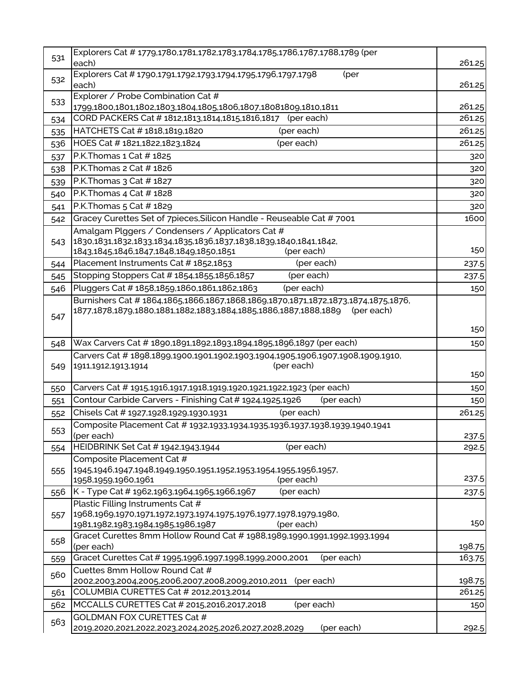| 531 | Explorers Cat # 1779,1780,1781,1782,1783,1784,1785,1786,1787,1788,1789 (per                                                                                      |        |
|-----|------------------------------------------------------------------------------------------------------------------------------------------------------------------|--------|
|     | each)                                                                                                                                                            | 261.25 |
| 532 | Explorers Cat # 1790,1791,1792,1793,1794,1795,1796,1797,1798<br>(per<br>each)                                                                                    | 261.25 |
| 533 | Explorer / Probe Combination Cat #                                                                                                                               |        |
|     | 1799,1800,1801,1802,1803,1804,1805,1806,1807,18081809,1810,1811                                                                                                  | 261.25 |
| 534 | CORD PACKERS Cat #1812,1813,1814,1815,1816,1817 (per each)                                                                                                       | 261.25 |
| 535 | HATCHETS Cat #1818,1819,1820<br>(per each)                                                                                                                       | 261.25 |
| 536 | HOES Cat #1821,1822,1823,1824<br>(per each)                                                                                                                      | 261.25 |
| 537 | P.K. Thomas 1 Cat # 1825                                                                                                                                         | 320    |
| 538 | P.K. Thomas 2 Cat # 1826                                                                                                                                         | 320    |
| 539 | P.K. Thomas 3 Cat # 1827                                                                                                                                         | 320    |
| 540 | P.K. Thomas 4 Cat # 1828                                                                                                                                         | 320    |
| 541 | P.K. Thomas 5 Cat # 1829                                                                                                                                         | 320    |
| 542 | Gracey Curettes Set of 7pieces, Silicon Handle - Reuseable Cat # 7001                                                                                            | 1600   |
|     | Amalgam Plggers / Condensers / Applicators Cat #                                                                                                                 |        |
| 543 | 1830,1831,1832,1833,1834,1835,1836,1837,1838,1839,1840,1841,1842,                                                                                                |        |
|     | 1843,1845,1846,1847,1848,1849,1850,1851<br>(per each)                                                                                                            | 150    |
| 544 | Placement Instruments Cat #1852,1853<br>(per each)                                                                                                               | 237.5  |
| 545 | (per each)<br>Stopping Stoppers Cat #1854,1855,1856,1857                                                                                                         | 237.5  |
| 546 | (per each)<br>Pluggers Cat #1858,1859,1860,1861,1862,1863                                                                                                        | 150    |
| 547 | Burnishers Cat #1864,1865,1866,1867,1868,1869,1870,1871,1872,1873,1874,1875,1876,<br>1877,1878,1879,1880,1881,1882,1883,1884,1885,1886,1887,1888,1889 (per each) |        |
|     |                                                                                                                                                                  | 150    |
| 548 | Wax Carvers Cat # 1890,1891,1892,1893,1894,1895,1896,1897 (per each)                                                                                             | 150    |
|     | Carvers Cat #1898,1899,1900,1901,1902,1903,1904,1905,1906,1907,1908,1909,1910,                                                                                   |        |
| 549 | (per each)<br>1911,1912,1913,1914                                                                                                                                |        |
|     |                                                                                                                                                                  | 150    |
| 550 | Carvers Cat # 1915,1916,1917,1918,1919,1920,1921,1922,1923 (per each)                                                                                            | 150    |
| 551 | Contour Carbide Carvers - Finishing Cat # 1924,1925,1926<br>(per each)                                                                                           | 150    |
| 552 | Chisels Cat # 1927,1928,1929,1930,1931<br>(per each)                                                                                                             | 261.25 |
| 553 | Composite Placement Cat # 1932,1933,1934,1935,1936,1937,1938,1939,1940,1941                                                                                      |        |
|     | (per each)                                                                                                                                                       | 237.5  |
| 554 | HEIDBRINK Set Cat # 1942,1943,1944<br>(per each)                                                                                                                 | 292.5  |
|     | Composite Placement Cat #<br>1945,1946,1947,1948,1949,1950,1951,1952,1953,1954,1955,1956,1957,                                                                   |        |
| 555 | (per each)<br>1958,1959,1960,1961                                                                                                                                | 237.5  |
| 556 | (per each)<br>K - Type Cat # 1962,1963,1964,1965,1966,1967                                                                                                       | 237.5  |
|     | Plastic Filling Instruments Cat #                                                                                                                                |        |
| 557 | 1968,1969,1970,1971,1972,1973,1974,1975,1976,1977,1978,1979,1980,                                                                                                |        |
|     | 1981,1982,1983,1984,1985,1986,1987<br>(per each)                                                                                                                 | 150    |
| 558 | Gracet Curettes 8mm Hollow Round Cat # 1988,1989,1990,1991,1992,1993,1994                                                                                        |        |
|     | (per each)                                                                                                                                                       | 198.75 |
| 559 | Gracet Curettes Cat # 1995,1996,1997,1998,1999,2000,2001<br>(per each)                                                                                           | 163.75 |
| 560 | Cuettes 8mm Hollow Round Cat #                                                                                                                                   |        |
|     | 2002,2003,2004,2005,2006,2007,2008,2009,2010,2011<br>(per each)                                                                                                  | 198.75 |
| 561 | COLUMBIA CURETTES Cat # 2012,2013,2014                                                                                                                           | 261.25 |
| 562 | MCCALLS CURETTES Cat # 2015,2016,2017,2018<br>(per each)                                                                                                         | 150    |
| 563 | <b>GOLDMAN FOX CURETTES Cat #</b>                                                                                                                                |        |
|     | 2019,2020,2021,2022,2023,2024,2025,2026,2027,2028,2029<br>(per each)                                                                                             | 292.5  |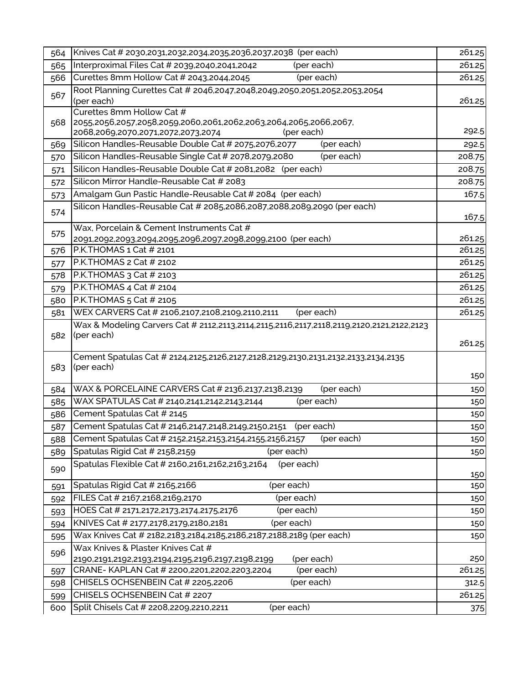| 564        | Knives Cat # 2030,2031,2032,2034,2035,2036,2037,2038 (per each)                                                | 261.25           |
|------------|----------------------------------------------------------------------------------------------------------------|------------------|
| 565        | Interproximal Files Cat # 2039,2040,2041,2042<br>(per each)                                                    | 261.25           |
| 566        | Curettes 8mm Hollow Cat # 2043,2044,2045<br>(per each)                                                         | 261.25           |
| 567        | Root Planning Curettes Cat # 2046,2047,2048,2049,2050,2051,2052,2053,2054                                      |                  |
|            | (per each)                                                                                                     | 261.25           |
| 568        | Curettes 8mm Hollow Cat #<br>2055,2056,2057,2058,2059,2060,2061,2062,2063,2064,2065,2066,2067,                 |                  |
|            | (per each)<br>2068,2069,2070,2071,2072,2073,2074                                                               | 292.5            |
| 569        | Silicon Handles-Reusable Double Cat # 2075,2076,2077<br>(per each)                                             | 292.5            |
| 570        | Silicon Handles-Reusable Single Cat # 2078,2079,2080<br>(per each)                                             | 208.75           |
| 571        | Silicon Handles-Reusable Double Cat # 2081,2082 (per each)                                                     | 208.75           |
| 572        | Silicon Mirror Handle-Reusable Cat # 2083                                                                      | 208.75           |
| 573        | Amalgam Gun Pastic Handle-Reusable Cat # 2084 (per each)                                                       | 167.5            |
| 574        | Silicon Handles-Reusable Cat # 2085,2086,2087,2088,2089,2090 (per each)                                        |                  |
|            |                                                                                                                | 167.5            |
| 575        | Wax, Porcelain & Cement Instruments Cat #                                                                      |                  |
| 576        | 2091,2092,2093,2094,2095,2096,2097,2098,2099,2100 (per each)<br>P.K.THOMAS 1 Cat # 2101                        | 261.25<br>261.25 |
|            | P.K.THOMAS 2 Cat # 2102                                                                                        | 261.25           |
| 577<br>578 | P.K.THOMAS 3 Cat # 2103                                                                                        | 261.25           |
| 579        | P.K.THOMAS 4 Cat # 2104                                                                                        | 261.25           |
| 580        | P.K.THOMAS 5 Cat # 2105                                                                                        | 261.25           |
| 581        | WEX CARVERS Cat # 2106,2107,2108,2109,2110,2111<br>(per each)                                                  | 261.25           |
|            | Wax & Modeling Carvers Cat # 2112,2113,2114,2115,2116,2117,2118,2119,2120,2121,2122,2123                       |                  |
| 582        | (per each)                                                                                                     |                  |
|            |                                                                                                                | 261.25           |
|            | Cement Spatulas Cat # 2124,2125,2126,2127,2128,2129,2130,2131,2132,2133,2134,2135                              |                  |
| 583        | (per each)                                                                                                     | 150              |
| 584        | WAX & PORCELAINE CARVERS Cat # 2136,2137,2138,2139<br>(per each)                                               | 150              |
| 585        | WAX SPATULAS Cat # 2140,2141,2142,2143,2144<br>(per each)                                                      | 150              |
| 586        | Cement Spatulas Cat # 2145                                                                                     | 150              |
| 587        | Cement Spatulas Cat # 2146,2147,2148,2149,2150,2151 (per each)                                                 | 150              |
| 588        | Cement Spatulas Cat # 2152,2152,2153,2154,2155,2156,2157<br>(per each)                                         | 150              |
| 589        | Spatulas Rigid Cat # 2158,2159<br>(per each)                                                                   | 150              |
| 590        | Spatulas Flexible Cat # 2160,2161,2162,2163,2164<br>(per each)                                                 |                  |
|            |                                                                                                                | 150              |
| 591        | Spatulas Rigid Cat # 2165,2166<br>(per each)                                                                   | 150              |
| 592        | FILES Cat # 2167,2168,2169,2170<br>(per each)                                                                  | 150              |
| 593        | (per each)<br>HOES Cat # 2171,2172,2173,2174,2175,2176                                                         | 150              |
| 594        | (per each)<br>KNIVES Cat # 2177,2178,2179,2180,2181                                                            | 150              |
| 595        | Wax Knives Cat # 2182,2183,2184,2185,2186,2187,2188,2189 (per each)                                            | 150              |
| 596        | Wax Knives & Plaster Knives Cat #<br>(per each)                                                                | 250              |
| 597        | 2190,2191,2192,2193,2194,2195,2196,2197,2198,2199<br>CRANE-KAPLAN Cat # 2200,2201,2202,2203,2204<br>(per each) | 261.25           |
| 598        | CHISELS OCHSENBEIN Cat # 2205,2206<br>(per each)                                                               | 312.5            |
| 599        | CHISELS OCHSENBEIN Cat # 2207                                                                                  | 261.25           |
| 600        | Split Chisels Cat # 2208,2209,2210,2211<br>(per each)                                                          | 375              |
|            |                                                                                                                |                  |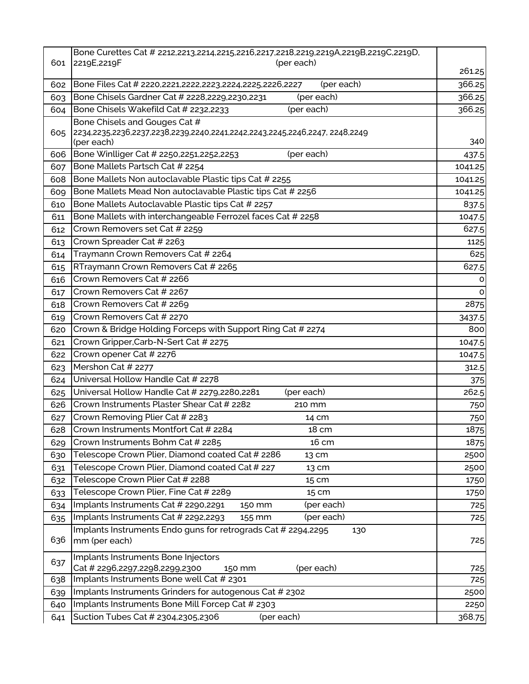|     | Bone Curettes Cat # 2212,2213,2214,2215,2216,2217,2218,2219,2219A,2219B,2219C,2219D, |         |
|-----|--------------------------------------------------------------------------------------|---------|
| 601 | 2219E, 2219F<br>(per each)                                                           | 261.25  |
| 602 | Bone Files Cat # 2220,2221,2222,2223,2224,2225,2226,2227<br>(per each)               | 366.25  |
| 603 | Bone Chisels Gardner Cat # 2228,2229,2230,2231<br>(per each)                         | 366.25  |
| 604 | Bone Chisels Wakefild Cat # 2232,2233<br>(per each)                                  | 366.25  |
|     | Bone Chisels and Gouges Cat #                                                        |         |
| 605 | 2234,2235,2236,2237,2238,2239,2240,2241,2242,2243,2245,2246,2247, 2248,2249          |         |
|     | (per each)                                                                           | 340     |
| 606 | Bone Winlliger Cat # 2250,2251,2252,2253<br>(per each)                               | 437.5   |
| 607 | Bone Mallets Partsch Cat # 2254                                                      | 1041.25 |
| 608 | Bone Mallets Non autoclavable Plastic tips Cat # 2255                                | 1041.25 |
| 609 | Bone Mallets Mead Non autoclavable Plastic tips Cat # 2256                           | 1041.25 |
| 610 | Bone Mallets Autoclavable Plastic tips Cat # 2257                                    | 837.5   |
| 611 | Bone Mallets with interchangeable Ferrozel faces Cat # 2258                          | 1047.5  |
| 612 | Crown Removers set Cat # 2259                                                        | 627.5   |
| 613 | Crown Spreader Cat # 2263                                                            | 1125    |
| 614 | Traymann Crown Removers Cat # 2264                                                   | 625     |
| 615 | RTraymann Crown Removers Cat # 2265                                                  | 627.5   |
| 616 | Crown Removers Cat # 2266                                                            | 0       |
| 617 | Crown Removers Cat # 2267                                                            | 0       |
| 618 | Crown Removers Cat # 2269                                                            | 2875    |
| 619 | Crown Removers Cat # 2270                                                            | 3437.5  |
| 620 | Crown & Bridge Holding Forceps with Support Ring Cat # 2274                          | 800     |
| 621 | Crown Gripper, Carb-N-Sert Cat # 2275                                                | 1047.5  |
| 622 | Crown opener Cat # 2276                                                              | 1047.5  |
| 623 | Mershon Cat # 2277                                                                   | 312.5   |
| 624 | Universal Hollow Handle Cat # 2278                                                   | 375     |
| 625 | Universal Hollow Handle Cat # 2279,2280,2281<br>(per each)                           | 262.5   |
| 626 | Crown Instruments Plaster Shear Cat # 2282<br>210 mm                                 | 750     |
| 627 | Crown Removing Plier Cat # 2283<br>14 cm                                             | 750     |
| 628 | Crown Instruments Montfort Cat # 2284<br>18 cm                                       | 1875    |
| 629 | Crown Instruments Bohm Cat # 2285<br>16 cm                                           | 1875    |
| 630 | Telescope Crown Plier, Diamond coated Cat # 2286<br>13 cm                            | 2500    |
| 631 | Telescope Crown Plier, Diamond coated Cat # 227<br>13 cm                             | 2500    |
| 632 | Telescope Crown Plier Cat # 2288<br>15 cm                                            | 1750    |
| 633 | Telescope Crown Plier, Fine Cat # 2289<br>15 cm                                      | 1750    |
| 634 | Implants Instruments Cat # 2290,2291<br>(per each)<br>150 mm                         | 725     |
| 635 | Implants Instruments Cat # 2292,2293<br>(per each)<br>155 mm                         | 725     |
|     | Implants Instruments Endo guns for retrograds Cat # 2294,2295<br>130                 |         |
| 636 | mm (per each)                                                                        | 725     |
|     | Implants Instruments Bone Injectors                                                  |         |
| 637 | Cat # 2296,2297,2298,2299,2300<br>(per each)<br>150 mm                               | 725     |
| 638 | Implants Instruments Bone well Cat # 2301                                            | 725     |
| 639 | Implants Instruments Grinders for autogenous Cat # 2302                              | 2500    |
| 640 | Implants Instruments Bone Mill Forcep Cat # 2303                                     | 2250    |
| 641 | Suction Tubes Cat # 2304,2305,2306<br>(per each)                                     | 368.75  |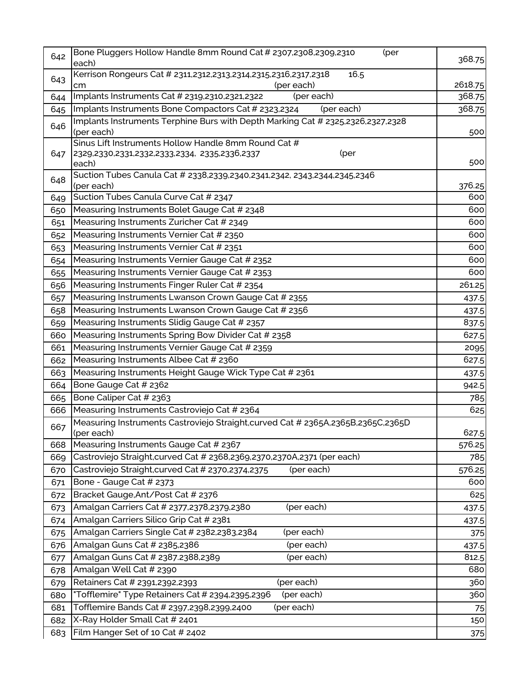| 642 | Bone Pluggers Hollow Handle 8mm Round Cat # 2307,2308,2309,2310<br>(per<br>each)                  | 368.75  |
|-----|---------------------------------------------------------------------------------------------------|---------|
| 643 | Kerrison Rongeurs Cat # 2311,2312,2313,2314,2315,2316,2317,2318<br>16.5<br>(per each)<br>cm       | 2618.75 |
| 644 | Implants Instruments Cat # 2319,2310,2321,2322<br>(per each)                                      | 368.75  |
| 645 | Implants Instruments Bone Compactors Cat # 2323,2324<br>(per each)                                | 368.75  |
| 646 | Implants Instruments Terphine Burs with Depth Marking Cat # 2325,2326,2327,2328<br>(per each)     | 500     |
|     | Sinus Lift Instruments Hollow Handle 8mm Round Cat #                                              |         |
| 647 | 2329,2330,2331,2332,2333,2334, 2335,2336,2337<br>(per<br>each)                                    | 500     |
| 648 | Suction Tubes Canula Cat # 2338,2339,2340,2341,2342, 2343,2344,2345,2346<br>(per each)            | 376.25  |
| 649 | Suction Tubes Canula Curve Cat # 2347                                                             | 600     |
| 650 | Measuring Instruments Bolet Gauge Cat # 2348                                                      | 600     |
| 651 | Measuring Instruments Zuricher Cat # 2349                                                         | 600     |
| 652 | Measuring Instruments Vernier Cat # 2350                                                          | 600     |
| 653 | Measuring Instruments Vernier Cat # 2351                                                          | 600     |
| 654 | Measuring Instruments Vernier Gauge Cat # 2352                                                    | 600     |
| 655 | Measuring Instruments Vernier Gauge Cat # 2353                                                    | 600     |
| 656 | Measuring Instruments Finger Ruler Cat # 2354                                                     | 261.25  |
| 657 | Measuring Instruments Lwanson Crown Gauge Cat # 2355                                              | 437.5   |
| 658 | Measuring Instruments Lwanson Crown Gauge Cat # 2356                                              | 437.5   |
| 659 | Measuring Instruments Slidig Gauge Cat # 2357                                                     | 837.5   |
| 660 | Measuring Instruments Spring Bow Divider Cat # 2358                                               | 627.5   |
| 661 | Measuring Instruments Vernier Gauge Cat # 2359                                                    | 2095    |
| 662 | Measuring Instruments Albee Cat # 2360                                                            | 627.5   |
| 663 | Measuring Instruments Height Gauge Wick Type Cat # 2361                                           | 437.5   |
| 664 | Bone Gauge Cat # 2362                                                                             | 942.5   |
| 665 | Bone Caliper Cat # 2363                                                                           | 785     |
| 666 | Measuring Instruments Castroviejo Cat # 2364                                                      | 625     |
| 667 | Measuring Instruments Castroviejo Straight, curved Cat # 2365A, 2365B, 2365C, 2365D<br>(per each) | 627.5   |
| 668 | Measuring Instruments Gauge Cat # 2367                                                            | 576.25  |
| 669 | Castroviejo Straight, curved Cat # 2368, 2369, 2370, 2370A, 2371 (per each)                       | 785     |
| 670 | Castroviejo Straight, curved Cat # 2370, 2374, 2375<br>(per each)                                 | 576.25  |
| 671 | Bone - Gauge Cat # 2373                                                                           | 600     |
| 672 | Bracket Gauge, Ant/Post Cat # 2376                                                                | 625     |
| 673 | Amalgan Carriers Cat # 2377,2378,2379,2380<br>(per each)                                          | 437.5   |
| 674 | Amalgan Carriers Silico Grip Cat # 2381                                                           | 437.5   |
| 675 | Amalgan Carriers Single Cat # 2382,2383,2384<br>(per each)                                        | 375     |
| 676 | Amalgan Guns Cat # 2385,2386<br>(per each)                                                        | 437.5   |
| 677 | Amalgan Guns Cat # 2387.2388,2389<br>(per each)                                                   | 812.5   |
| 678 | Amalgan Well Cat # 2390                                                                           | 680     |
| 679 | Retainers Cat # 2391,2392,2393<br>(per each)                                                      | 360     |
| 680 | (per each)<br>"Tofflemire" Type Retainers Cat # 2394,2395,2396                                    | 360     |
| 681 | Tofflemire Bands Cat # 2397,2398,2399,2400<br>(per each)                                          | 75      |
| 682 | X-Ray Holder Small Cat # 2401                                                                     | 150     |
| 683 | Film Hanger Set of 10 Cat # 2402                                                                  | 375     |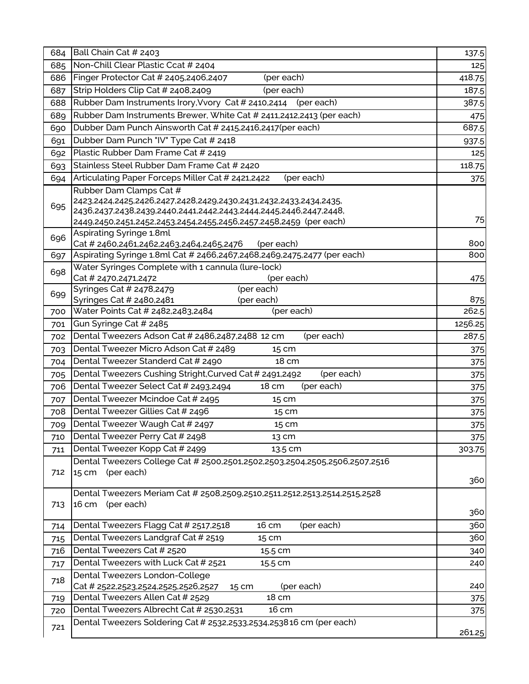| 684 | Ball Chain Cat # 2403                                                                                                                                                                                       | 137.5        |
|-----|-------------------------------------------------------------------------------------------------------------------------------------------------------------------------------------------------------------|--------------|
| 685 | Non-Chill Clear Plastic Ccat # 2404                                                                                                                                                                         | 125          |
| 686 | Finger Protector Cat # 2405,2406,2407<br>(per each)                                                                                                                                                         | 418.75       |
| 687 | Strip Holders Clip Cat # 2408,2409<br>(per each)                                                                                                                                                            | 187.5        |
| 688 | Rubber Dam Instruments Irory, Vvory Cat # 2410,2414<br>(per each)                                                                                                                                           | 387.5        |
| 689 | Rubber Dam Instruments Brewer, White Cat # 2411,2412,2413 (per each)                                                                                                                                        | 475          |
| 690 | Dubber Dam Punch Ainsworth Cat # 2415,2416,2417 (per each)                                                                                                                                                  | 687.5        |
| 691 | Dubber Dam Punch "IV" Type Cat # 2418                                                                                                                                                                       | 937.5        |
| 692 | Plastic Rubber Dam Frame Cat # 2419                                                                                                                                                                         | 125          |
| 693 | Stainless Steel Rubber Dam Frame Cat # 2420                                                                                                                                                                 | 118.75       |
| 694 | Articulating Paper Forceps Miller Cat # 2421,2422<br>(per each)                                                                                                                                             | 375          |
|     | Rubber Dam Clamps Cat #                                                                                                                                                                                     |              |
| 695 | 2423,2424,2425,2426,2427,2428,2429,2430,2431,2432,2433,2434,2435,<br>2436,2437,2438,2439,2440,2441,2442,2443,2444,2445,2446,2447,2448,<br>2449,2450,2451,2452,2453,2454,2455,2456,2457.2458,2459 (per each) | 75           |
| 696 | Aspirating Syringe 1.8ml                                                                                                                                                                                    |              |
|     | Cat # 2460,2461,2462,2463,2464,2465,2476<br>(per each)                                                                                                                                                      | 800          |
| 697 | Aspirating Syringe 1.8ml Cat # 2466,2467,2468,2469,2475,2477 (per each)                                                                                                                                     | 800          |
| 698 | Water Syringes Complete with 1 cannula (lure-lock)                                                                                                                                                          |              |
|     | Cat # 2470,2471,2472<br>(per each)                                                                                                                                                                          | 475          |
| 699 | Syringes Cat # 2478,2479<br>(per each)                                                                                                                                                                      |              |
| 700 | Syringes Cat # 2480,2481<br>(per each)<br>Water Points Cat # 2482,2483,2484<br>(per each)                                                                                                                   | 875<br>262.5 |
| 701 | Gun Syringe Cat # 2485                                                                                                                                                                                      | 1256.25      |
|     | Dental Tweezers Adson Cat # 2486,2487,2488 12 cm<br>(per each)                                                                                                                                              | 287.5        |
| 702 | Dental Tweezer Micro Adson Cat # 2489                                                                                                                                                                       |              |
| 703 | 15 cm                                                                                                                                                                                                       | 375          |
| 704 | Dental Tweezer Standerd Cat # 2490<br>18 cm                                                                                                                                                                 | 375          |
| 705 | Dental Tweezers Cushing Stright, Curved Cat # 2491, 2492<br>(per each)                                                                                                                                      | 375          |
| 706 | Dental Tweezer Select Cat # 2493,2494<br>(per each)<br>18 cm                                                                                                                                                | 375          |
| 707 | Dental Tweezer Mcindoe Cat # 2495<br>15 cm                                                                                                                                                                  | 375          |
| 708 | Dental Tweezer Gillies Cat # 2496<br>15 cm                                                                                                                                                                  | 375          |
| 709 | Dental Tweezer Waugh Cat # 2497<br>15 cm                                                                                                                                                                    | 375          |
| 710 | Dental Tweezer Perry Cat # 2498<br>13 cm                                                                                                                                                                    | 375          |
| 711 | Dental Tweezer Kopp Cat # 2499<br>13.5 cm                                                                                                                                                                   | 303.75       |
| 712 | Dental Tweezers College Cat # 2500,2501,2502,2503,2504,2505,2506,2507,2516<br>(per each)<br>15 cm                                                                                                           | 360          |
|     | Dental Tweezers Meriam Cat # 2508,2509,2510,2511,2512,2513,2514,2515,2528                                                                                                                                   |              |
| 713 | 16 cm<br>(per each)                                                                                                                                                                                         | 360          |
| 714 | Dental Tweezers Flagg Cat # 2517,2518<br>16 cm<br>(per each)                                                                                                                                                | 360          |
| 715 | Dental Tweezers Landgraf Cat # 2519<br>15 cm                                                                                                                                                                | 360          |
| 716 | Dental Tweezers Cat # 2520<br>15.5 cm                                                                                                                                                                       | 340          |
| 717 | Dental Tweezers with Luck Cat # 2521<br>15.5 cm                                                                                                                                                             | 240          |
| 718 | Dental Tweezers London-College<br>Cat # 2522,2523,2524,2525,2526,2527<br>(per each)<br>15 cm                                                                                                                | 240          |
| 719 | Dental Tweezers Allen Cat # 2529<br>18 cm                                                                                                                                                                   | 375          |
| 720 | Dental Tweezers Albrecht Cat # 2530,2531<br>16 cm                                                                                                                                                           | 375          |
|     | Dental Tweezers Soldering Cat # 2532,2533,2534,253816 cm (per each)                                                                                                                                         |              |
| 721 |                                                                                                                                                                                                             | 261.25       |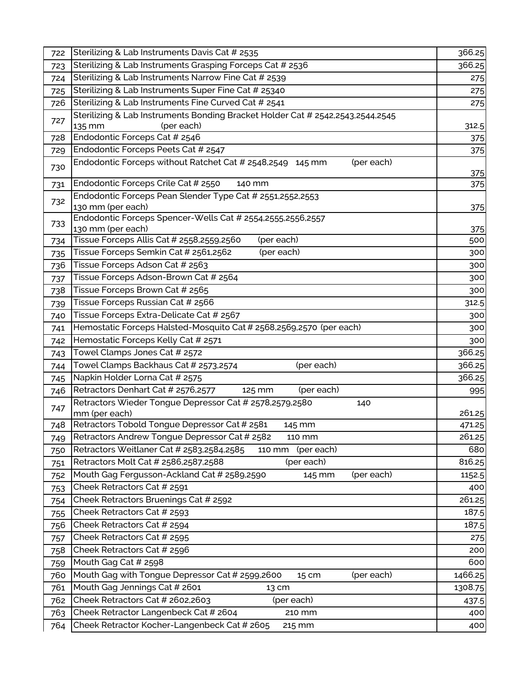| 722 | Sterilizing & Lab Instruments Davis Cat # 2535                                  | 366.25  |
|-----|---------------------------------------------------------------------------------|---------|
| 723 | Sterilizing & Lab Instruments Grasping Forceps Cat # 2536                       | 366.25  |
| 724 | Sterilizing & Lab Instruments Narrow Fine Cat # 2539                            | 275     |
| 725 | Sterilizing & Lab Instruments Super Fine Cat # 25340                            | 275     |
| 726 | Sterilizing & Lab Instruments Fine Curved Cat # 2541                            | 275     |
|     | Sterilizing & Lab Instruments Bonding Bracket Holder Cat # 2542,2543,2544,2545  |         |
| 727 | 135 mm<br>(per each)                                                            | 312.5   |
| 728 | Endodontic Forceps Cat # 2546                                                   | 375     |
| 729 | Endodontic Forceps Peets Cat # 2547                                             | 375     |
| 730 | Endodontic Forceps without Ratchet Cat # 2548,2549 145 mm<br>(per each)         | 375     |
| 731 | Endodontic Forceps Crile Cat # 2550<br>140 mm                                   | 375     |
| 732 | Endodontic Forceps Pean Slender Type Cat # 2551,2552,2553<br>130 mm (per each)  | 375     |
| 733 | Endodontic Forceps Spencer-Wells Cat # 2554,2555,2556,2557                      |         |
|     | 130 mm (per each)                                                               | 375     |
| 734 | Tissue Forceps Allis Cat # 2558,2559,2560<br>(per each)                         | 500     |
| 735 | Tissue Forceps Semkin Cat # 2561,2562<br>(per each)                             | 300     |
| 736 | Tissue Forceps Adson Cat # 2563                                                 | 300     |
| 737 | Tissue Forceps Adson-Brown Cat # 2564                                           | 300     |
| 738 | Tissue Forceps Brown Cat # 2565                                                 | 300     |
| 739 | Tissue Forceps Russian Cat # 2566                                               | 312.5   |
| 740 | Tissue Forceps Extra-Delicate Cat # 2567                                        | 300     |
| 741 | Hemostatic Forceps Halsted-Mosquito Cat # 2568,2569,2570 (per each)             | 300     |
| 742 | Hemostatic Forceps Kelly Cat # 2571                                             | 300     |
| 743 | Towel Clamps Jones Cat # 2572                                                   | 366.25  |
| 744 | (per each)<br>Towel Clamps Backhaus Cat # 2573,2574                             | 366.25  |
| 745 | Napkin Holder Lorna Cat # 2575                                                  | 366.25  |
| 746 | Retractors Denhart Cat # 2576,2577<br>(per each)<br>125 mm                      | 995     |
| 747 | Retractors Wieder Tongue Depressor Cat # 2578,2579,2580<br>140<br>mm (per each) | 261.25  |
| 748 | Retractors Tobold Tongue Depressor Cat # 2581<br>145 mm                         | 471.25  |
| 749 | Retractors Andrew Tongue Depressor Cat # 2582<br>110 mm                         | 261.25  |
| 750 | Retractors Weitlaner Cat # 2583,2584,2585<br>(per each)<br>110 mm               | 680     |
| 751 | Retractors Molt Cat # 2586,2587,2588<br>(per each)                              | 816.25  |
| 752 | Mouth Gag Fergusson-Ackland Cat # 2589,2590<br>(per each)<br>145 mm             | 1152.5  |
| 753 | Cheek Retractors Cat # 2591                                                     | 400     |
| 754 | Cheek Retractors Bruenings Cat # 2592                                           | 261.25  |
| 755 | Cheek Retractors Cat # 2593                                                     | 187.5   |
| 756 | Cheek Retractors Cat # 2594                                                     | 187.5   |
| 757 | Cheek Retractors Cat # 2595                                                     | 275     |
| 758 | Cheek Retractors Cat # 2596                                                     | 200     |
| 759 | Mouth Gag Cat # 2598                                                            | 600     |
| 760 | Mouth Gag with Tongue Depressor Cat # 2599,2600<br>(per each)<br>15 cm          | 1466.25 |
| 761 | Mouth Gag Jennings Cat # 2601<br>13 cm                                          | 1308.75 |
| 762 | Cheek Retractors Cat # 2602,2603<br>(per each)                                  | 437.5   |
| 763 | Cheek Retractor Langenbeck Cat # 2604<br>210 mm                                 | 400     |
| 764 | Cheek Retractor Kocher-Langenbeck Cat # 2605<br>215 mm                          | 400     |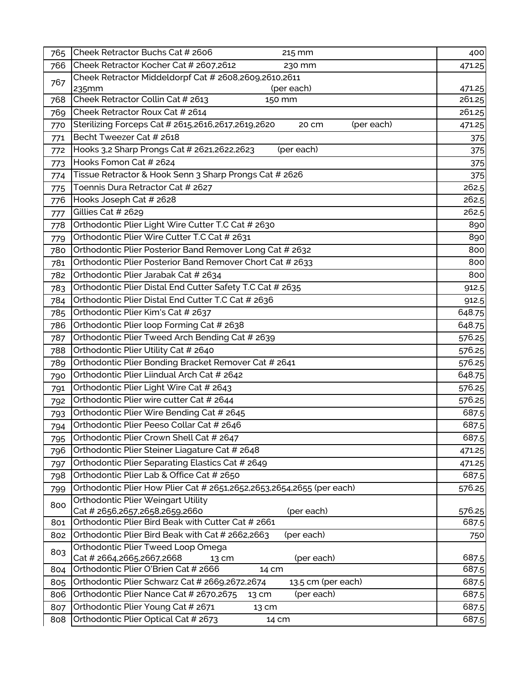| 765 | Cheek Retractor Buchs Cat # 2606<br>215 mm                                               | 400    |
|-----|------------------------------------------------------------------------------------------|--------|
| 766 | Cheek Retractor Kocher Cat # 2607,2612<br>230 mm                                         | 471.25 |
| 767 | Cheek Retractor Middeldorpf Cat # 2608,2609,2610,2611                                    |        |
|     | (per each)<br>235mm                                                                      | 471.25 |
| 768 | Cheek Retractor Collin Cat # 2613<br>150 mm                                              | 261.25 |
| 769 | Cheek Retractor Roux Cat # 2614                                                          | 261.25 |
| 770 | Sterilizing Forceps Cat # 2615,2616,2617,2619,2620<br>(per each)<br>20 cm                | 471.25 |
| 771 | Becht Tweezer Cat # 2618                                                                 | 375    |
| 772 | Hooks 3,2 Sharp Prongs Cat # 2621,2622,2623<br>(per each)                                | 375    |
| 773 | Hooks Fomon Cat # 2624                                                                   | 375    |
| 774 | Tissue Retractor & Hook Senn 3 Sharp Prongs Cat # 2626                                   | 375    |
| 775 | Toennis Dura Retractor Cat # 2627                                                        | 262.5  |
| 776 | Hooks Joseph Cat # 2628                                                                  | 262.5  |
| 777 | Gillies Cat # 2629                                                                       | 262.5  |
| 778 | Orthodontic Plier Light Wire Cutter T.C Cat # 2630                                       | 890    |
| 779 | Orthodontic Plier Wire Cutter T.C Cat # 2631                                             | 890    |
| 780 | Orthodontic Plier Posterior Band Remover Long Cat # 2632                                 | 800    |
| 781 | Orthodontic Plier Posterior Band Remover Chort Cat # 2633                                | 800    |
| 782 | Orthodontic Plier Jarabak Cat # 2634                                                     | 800    |
| 783 | Orthodontic Plier Distal End Cutter Safety T.C Cat # 2635                                | 912.5  |
| 784 | Orthodontic Plier Distal End Cutter T.C Cat # 2636                                       | 912.5  |
| 785 | Orthodontic Plier Kim's Cat # 2637                                                       | 648.75 |
| 786 | Orthodontic Plier loop Forming Cat # 2638                                                | 648.75 |
| 787 | Orthodontic Plier Tweed Arch Bending Cat # 2639                                          | 576.25 |
| 788 | Orthodontic Plier Utility Cat # 2640                                                     | 576.25 |
| 789 | Orthodontic Plier Bonding Bracket Remover Cat # 2641                                     | 576.25 |
| 790 | Orthodontic Plier Liindual Arch Cat # 2642                                               | 648.75 |
| 791 | Orthodontic Plier Light Wire Cat # 2643                                                  | 576.25 |
| 792 | Orthodontic Plier wire cutter Cat # 2644                                                 | 576.25 |
| 793 | Orthodontic Plier Wire Bending Cat # 2645                                                | 687.5  |
| 794 | Orthodontic Plier Peeso Collar Cat # 2646                                                | 687.5  |
| 795 | Orthodontic Plier Crown Shell Cat # 2647                                                 | 687.5  |
| 796 | Orthodontic Plier Steiner Liagature Cat # 2648                                           | 471.25 |
| 797 | Orthodontic Plier Separating Elastics Cat # 2649                                         | 471.25 |
| 798 | Orthodontic Plier Lab & Office Cat # 2650                                                | 687.5  |
| 799 | Orthodontic Plier How Plier Cat # 2651,2652,2653,2654,2655 (per each)                    | 576.25 |
| 800 | Orthodontic Plier Weingart Utility                                                       |        |
|     | Cat # 2656,2657,2658,2659,2660<br>(per each)                                             | 576.25 |
| 801 | Orthodontic Plier Bird Beak with Cutter Cat # 2661                                       | 687.5  |
| 802 | Orthodontic Plier Bird Beak with Cat # 2662,2663<br>(per each)                           | 750    |
| 803 | Orthodontic Plier Tweed Loop Omega                                                       |        |
|     | Cat # 2664,2665,2667,2668<br>(per each)<br>13 cm<br>Orthodontic Plier O'Brien Cat # 2666 | 687.5  |
| 804 | 14 cm<br>Orthodontic Plier Schwarz Cat # 2669,2672,2674                                  | 687.5  |
| 805 | 13.5 cm (per each)                                                                       | 687.5  |
| 806 | Orthodontic Plier Nance Cat # 2670,2675<br>(per each)<br>13 cm                           | 687.5  |
| 807 | Orthodontic Plier Young Cat # 2671<br>13 cm                                              | 687.5  |
| 808 | Orthodontic Plier Optical Cat # 2673<br>14 cm                                            | 687.5  |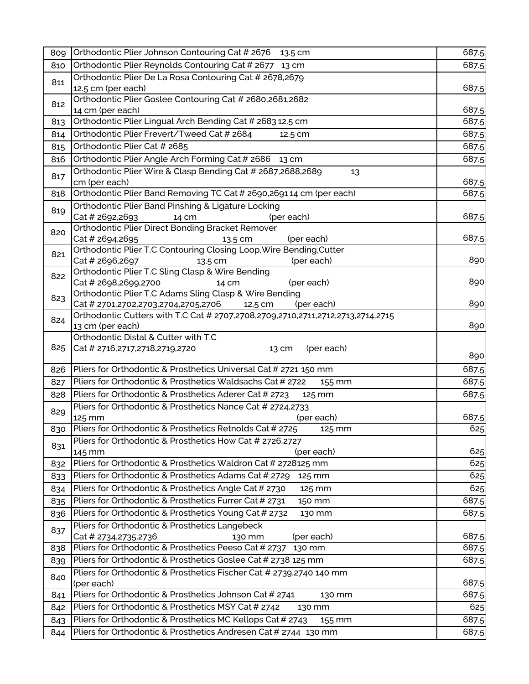| 809 | Orthodontic Plier Johnson Contouring Cat # 2676 13.5 cm                                             | 687.5          |
|-----|-----------------------------------------------------------------------------------------------------|----------------|
| 810 | Orthodontic Plier Reynolds Contouring Cat # 2677 13 cm                                              | 687.5          |
| 811 | Orthodontic Plier De La Rosa Contouring Cat # 2678,2679                                             |                |
|     | 12.5 cm (per each)                                                                                  | 687.5          |
| 812 | Orthodontic Plier Goslee Contouring Cat # 2680,2681,2682                                            |                |
|     | 14 cm (per each)                                                                                    | 687.5          |
| 813 | Orthodontic Plier Lingual Arch Bending Cat # 2683 12.5 cm                                           | 687.5          |
| 814 | Orthodontic Plier Frevert/Tweed Cat # 2684<br>12.5 cm                                               | 687.5          |
| 815 | Orthodontic Plier Cat # 2685                                                                        | 687.5          |
| 816 | Orthodontic Plier Angle Arch Forming Cat # 2686 13 cm                                               | 687.5          |
| 817 | Orthodontic Plier Wire & Clasp Bending Cat # 2687,2688,2689<br>13                                   |                |
|     | cm (per each)<br>Orthodontic Plier Band Removing TC Cat # 2690,269114 cm (per each)                 | 687.5<br>687.5 |
| 818 | <b>Orthodontic Plier Band Pinshing &amp; Ligature Locking</b>                                       |                |
| 819 | Cat # 2692,2693<br>14 cm<br>(per each)                                                              | 687.5          |
|     | Orthodontic Plier Direct Bonding Bracket Remover                                                    |                |
| 820 | Cat # 2694,2695<br>(per each)<br>13.5 cm                                                            | 687.5          |
|     | Orthodontic Plier T.C Contouring Closing Loop, Wire Bending, Cutter                                 |                |
| 821 | Cat # 2696,2697<br>(per each)<br>13.5 cm                                                            | 890            |
| 822 | Orthodontic Plier T.C Sling Clasp & Wire Bending                                                    |                |
|     | Cat # 2698,2699,2700<br>(per each)<br>14 cm                                                         | 890            |
| 823 | Orthodontic Plier T.C Adams Sling Clasp & Wire Bending                                              |                |
|     | Cat # 2701,2702,2703,2704,2705,2706<br>(per each)<br>12.5 cm                                        | 890            |
| 824 | Orthodontic Cutters with T.C Cat # 2707,2708,2709,2710,2711,2712,2713,2714,2715<br>13 cm (per each) | 890            |
|     | Orthodontic Distal & Cutter with T.C                                                                |                |
| 825 | Cat # 2716, 2717, 2718, 2719, 2720<br>(per each)<br>13 cm                                           |                |
|     |                                                                                                     | 890            |
| 826 | Pliers for Orthodontic & Prosthetics Universal Cat # 2721 150 mm                                    | 687.5          |
| 827 | Pliers for Orthodontic & Prosthetics Waldsachs Cat # 2722<br>155 mm                                 | 687.5          |
| 828 | Pliers for Orthodontic & Prosthetics Aderer Cat # 2723<br>125 mm                                    | 687.5          |
| 829 | Pliers for Orthodontic & Prosthetics Nance Cat # 2724,2733                                          |                |
|     | 125 mm<br>(per each)                                                                                | 687.5          |
| 830 | Pliers for Orthodontic & Prosthetics Retnolds Cat # 2725<br>125 mm                                  | 625            |
| 831 | Pliers for Orthodontic & Prosthetics How Cat # 2726,2727                                            |                |
|     | (per each)<br>145 mm                                                                                | 625            |
| 832 | Pliers for Orthodontic & Prosthetics Waldron Cat # 2728125 mm                                       | 625            |
| 833 | Pliers for Orthodontic & Prosthetics Adams Cat # 2729<br>125 mm                                     | 625            |
| 834 | Pliers for Orthodontic & Prosthetics Angle Cat # 2730<br>125 mm                                     | 625            |
| 835 | Pliers for Orthodontic & Prosthetics Furrer Cat # 2731<br>150 mm                                    | 687.5          |
| 836 | Pliers for Orthodontic & Prosthetics Young Cat # 2732<br>130 mm                                     | 687.5          |
| 837 | Pliers for Orthodontic & Prosthetics Langebeck                                                      |                |
|     | (per each)<br>Cat # 2734,2735,2736<br>130 mm                                                        | 687.5          |
| 838 | Pliers for Orthodontic & Prosthetics Peeso Cat # 2737<br>130 mm                                     | 687.5          |
| 839 | Pliers for Orthodontic & Prosthetics Goslee Cat # 2738 125 mm                                       | 687.5          |
| 840 | Pliers for Orthodontic & Prosthetics Fischer Cat # 2739,2740 140 mm<br>(per each)                   | 687.5          |
| 841 | Pliers for Orthodontic & Prosthetics Johnson Cat # 2741<br>130 mm                                   | 687.5          |
| 842 | Pliers for Orthodontic & Prosthetics MSY Cat # 2742<br>130 mm                                       | 625            |
|     | Pliers for Orthodontic & Prosthetics MC Kellops Cat # 2743                                          | 687.5          |
| 843 | 155 mm<br>Pliers for Orthodontic & Prosthetics Andresen Cat # 2744 130 mm                           |                |
| 844 |                                                                                                     | 687.5          |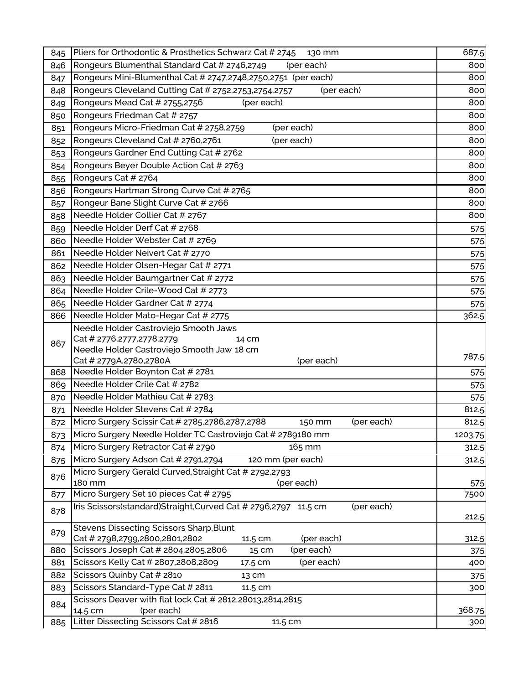| 845 | Pliers for Orthodontic & Prosthetics Schwarz Cat # 2745<br>130 mm            | 687.5       |
|-----|------------------------------------------------------------------------------|-------------|
| 846 | Rongeurs Blumenthal Standard Cat # 2746,2749<br>(per each)                   | 800         |
| 847 | Rongeurs Mini-Blumenthal Cat # 2747,2748,2750,2751 (per each)                | 800         |
| 848 | Rongeurs Cleveland Cutting Cat # 2752,2753,2754,2757<br>(per each)           | 800         |
| 849 | Rongeurs Mead Cat # 2755,2756<br>(per each)                                  | 800         |
| 850 | Rongeurs Friedman Cat # 2757                                                 | 800         |
| 851 | Rongeurs Micro-Friedman Cat # 2758,2759<br>(per each)                        | 800         |
| 852 | Rongeurs Cleveland Cat # 2760,2761<br>(per each)                             | 800         |
| 853 | Rongeurs Gardner End Cutting Cat # 2762                                      | 800         |
| 854 | Rongeurs Beyer Double Action Cat # 2763                                      | 800         |
| 855 | Rongeurs Cat # 2764                                                          | 800         |
| 856 | Rongeurs Hartman Strong Curve Cat # 2765                                     | 800         |
| 857 | Rongeur Bane Slight Curve Cat # 2766                                         | 800         |
| 858 | Needle Holder Collier Cat # 2767                                             | 800         |
| 859 | Needle Holder Derf Cat # 2768                                                | 575         |
| 860 | Needle Holder Webster Cat # 2769                                             | 575         |
| 861 | Needle Holder Neivert Cat # 2770                                             | 575         |
| 862 | Needle Holder Olsen-Hegar Cat # 2771                                         | 575         |
| 863 | Needle Holder Baumgartner Cat # 2772                                         | 575         |
| 864 | Needle Holder Crile-Wood Cat # 2773                                          | 575         |
| 865 | Needle Holder Gardner Cat # 2774                                             | 575         |
| 866 | Needle Holder Mato-Hegar Cat # 2775                                          | 362.5       |
|     | Needle Holder Castroviejo Smooth Jaws                                        |             |
| 867 | Cat # 2776,2777,2778,2779<br>14 cm                                           |             |
|     | Needle Holder Castroviejo Smooth Jaw 18 cm                                   | 787.5       |
|     | Cat # 2779A,2780,2780A<br>(per each)                                         |             |
| 868 | Needle Holder Boynton Cat # 2781                                             | 575         |
| 869 | Needle Holder Crile Cat # 2782                                               | 575         |
| 870 | Needle Holder Mathieu Cat # 2783                                             | 575         |
| 871 | Needle Holder Stevens Cat # 2784                                             | 812.5       |
| 872 | Micro Surgery Scissir Cat # 2785,2786,2787,2788<br>(per each)<br>150 mm      | 812.5       |
|     | 873 Micro Surgery Needle Holder TC Castroviejo Cat # 2789180 mm              | 1203.75     |
| 874 | Micro Surgery Retractor Cat # 2790<br>165 mm                                 | 312.5       |
| 875 | Micro Surgery Adson Cat # 2791,2794<br>120 mm (per each)                     | 312.5       |
| 876 | Micro Surgery Gerald Curved, Straight Cat # 2792, 2793                       |             |
| 877 | 180 mm<br>(per each)<br>Micro Surgery Set 10 pieces Cat # 2795               | 575<br>7500 |
|     | Iris Scissors(standard)Straight,Curved Cat # 2796,2797 11.5 cm<br>(per each) |             |
| 878 |                                                                              | 212.5       |
|     | <b>Stevens Dissecting Scissors Sharp, Blunt</b>                              |             |
| 879 | Cat # 2798,2799,2800,2801,2802<br>(per each)<br>11.5 cm                      | 312.5       |
| 880 | (per each)<br>Scissors Joseph Cat # 2804,2805,2806<br>15 cm                  | 375         |
| 881 | Scissors Kelly Cat # 2807,2808,2809<br>(per each)<br>17.5 cm                 | 400         |
| 882 | Scissors Quinby Cat # 2810<br>13 cm                                          | 375         |
| 883 | Scissors Standard-Type Cat # 2811<br>11.5 cm                                 | 300         |
| 884 | Scissors Deaver with flat lock Cat # 2812,28013,2814,2815                    |             |
|     | (per each)<br>14.5 cm                                                        | 368.75      |
| 885 | Litter Dissecting Scissors Cat # 2816<br>11.5 cm                             | 300         |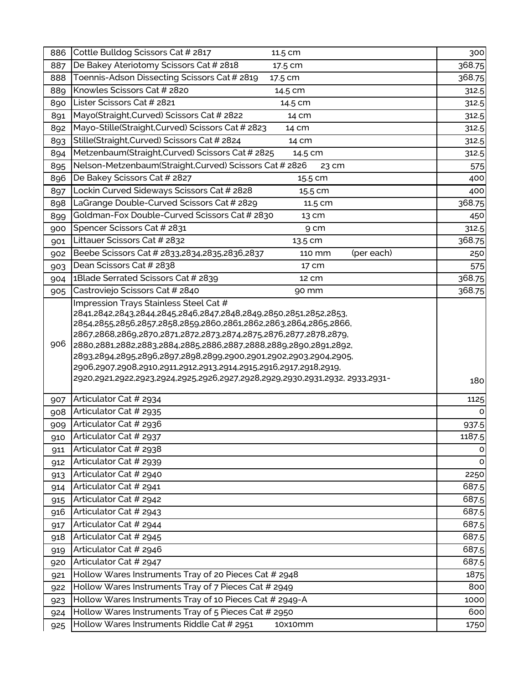| 886        | Cottle Bulldog Scissors Cat # 2817<br>11.5 cm                                                                                                                                                                                                                                                                                                                                                                              | 300         |
|------------|----------------------------------------------------------------------------------------------------------------------------------------------------------------------------------------------------------------------------------------------------------------------------------------------------------------------------------------------------------------------------------------------------------------------------|-------------|
| 887        | De Bakey Ateriotomy Scissors Cat # 2818<br>17.5 cm                                                                                                                                                                                                                                                                                                                                                                         | 368.75      |
| 888        | Toennis-Adson Dissecting Scissors Cat # 2819<br>17.5 cm                                                                                                                                                                                                                                                                                                                                                                    | 368.75      |
| 889        | Knowles Scissors Cat # 2820<br>14.5 cm                                                                                                                                                                                                                                                                                                                                                                                     | 312.5       |
| 890        | Lister Scissors Cat # 2821<br>14.5 cm                                                                                                                                                                                                                                                                                                                                                                                      | 312.5       |
| 891        | Mayo(Straight, Curved) Scissors Cat # 2822<br>14 cm                                                                                                                                                                                                                                                                                                                                                                        | 312.5       |
| 892        | Mayo-Stille(Straight, Curved) Scissors Cat # 2823<br>14 cm                                                                                                                                                                                                                                                                                                                                                                 | 312.5       |
| 893        | Stille(Straight,Curved) Scissors Cat # 2824<br>14 cm                                                                                                                                                                                                                                                                                                                                                                       | 312.5       |
| 894        | Metzenbaum(Straight,Curved) Scissors Cat # 2825<br>14.5 cm                                                                                                                                                                                                                                                                                                                                                                 | 312.5       |
| 895        | Nelson-Metzenbaum(Straight, Curved) Scissors Cat # 2826<br>23 cm                                                                                                                                                                                                                                                                                                                                                           | 575         |
| 896        | De Bakey Scissors Cat # 2827<br>15.5 cm                                                                                                                                                                                                                                                                                                                                                                                    | 400         |
| 897        | Lockin Curved Sideways Scissors Cat # 2828<br>15.5 cm                                                                                                                                                                                                                                                                                                                                                                      | 400         |
| 898        | LaGrange Double-Curved Scissors Cat # 2829<br>11.5 cm                                                                                                                                                                                                                                                                                                                                                                      | 368.75      |
| 899        | Goldman-Fox Double-Curved Scissors Cat # 2830<br>13 cm                                                                                                                                                                                                                                                                                                                                                                     | 450         |
| 900        | Spencer Scissors Cat # 2831<br>9 cm                                                                                                                                                                                                                                                                                                                                                                                        | 312.5       |
| 901        | Littauer Scissors Cat # 2832<br>13.5 cm                                                                                                                                                                                                                                                                                                                                                                                    | 368.75      |
| 902        | Beebe Scissors Cat # 2833,2834,2835,2836,2837<br>(per each)<br>110 mm                                                                                                                                                                                                                                                                                                                                                      | 250         |
| 903        | Dean Scissors Cat # 2838<br>17 cm                                                                                                                                                                                                                                                                                                                                                                                          | 575         |
| 904        | 1Blade Serrated Scissors Cat # 2839<br>12 cm                                                                                                                                                                                                                                                                                                                                                                               | 368.75      |
| 905        | Castroviejo Scissors Cat # 2840<br>90 mm                                                                                                                                                                                                                                                                                                                                                                                   | 368.75      |
| 906        | 2841,2842,2843,2844,2845,2846,2847,2848,2849,2850,2851,2852,2853,<br>2854,2855,2856,2857,2858,2859,2860,2861,2862,2863,2864,2865,2866,<br>2867,2868,2869,2870,2871,2872,2873,2874,2875,2876,2877,2878,2879,<br>2880,2881,2882,2883,2884,2885,2886,2887,2888,2889,2890,2891,2892,<br>2893,2894,2895,2896,2897,2898,2899,2900,2901,2902,2903,2904,2905,<br>2906,2907,2908,2910,2911,2912,2913,2914,2915,2916,2917,2918,2919, |             |
|            | 2920,2921,2922,2923,2924,2925,2926,2927,2928,2929,2930,2931,2932, 2933,2931-                                                                                                                                                                                                                                                                                                                                               | 180         |
| 907        | Articulator Cat # 2934                                                                                                                                                                                                                                                                                                                                                                                                     |             |
| 908        |                                                                                                                                                                                                                                                                                                                                                                                                                            | 1125        |
|            | Articulator Cat # 2935                                                                                                                                                                                                                                                                                                                                                                                                     | O           |
| 909        | Articulator Cat # 2936                                                                                                                                                                                                                                                                                                                                                                                                     | 937.5       |
| 910        | Articulator Cat # 2937                                                                                                                                                                                                                                                                                                                                                                                                     | 1187.5      |
| 911        | Articulator Cat # 2938                                                                                                                                                                                                                                                                                                                                                                                                     | O           |
| 912        | Articulator Cat # 2939                                                                                                                                                                                                                                                                                                                                                                                                     | O           |
| 913        | Articulator Cat # 2940                                                                                                                                                                                                                                                                                                                                                                                                     | 2250        |
| 914        | Articulator Cat # 2941                                                                                                                                                                                                                                                                                                                                                                                                     | 687.5       |
| 915        | Articulator Cat # 2942                                                                                                                                                                                                                                                                                                                                                                                                     | 687.5       |
| 916        | Articulator Cat # 2943                                                                                                                                                                                                                                                                                                                                                                                                     | 687.5       |
| 917        | Articulator Cat # 2944                                                                                                                                                                                                                                                                                                                                                                                                     | 687.5       |
| 918        | Articulator Cat # 2945                                                                                                                                                                                                                                                                                                                                                                                                     | 687.5       |
| 919        | Articulator Cat # 2946                                                                                                                                                                                                                                                                                                                                                                                                     | 687.5       |
| 920        | Articulator Cat # 2947                                                                                                                                                                                                                                                                                                                                                                                                     | 687.5       |
| 921        | Hollow Wares Instruments Tray of 20 Pieces Cat # 2948                                                                                                                                                                                                                                                                                                                                                                      | 1875        |
| 922        | Hollow Wares Instruments Tray of 7 Pieces Cat # 2949                                                                                                                                                                                                                                                                                                                                                                       | 800         |
| 923        | Hollow Wares Instruments Tray of 10 Pieces Cat # 2949-A                                                                                                                                                                                                                                                                                                                                                                    | 1000        |
| 924<br>925 | Hollow Wares Instruments Tray of 5 Pieces Cat # 2950<br>Hollow Wares Instruments Riddle Cat # 2951<br>10x10mm                                                                                                                                                                                                                                                                                                              | 600<br>1750 |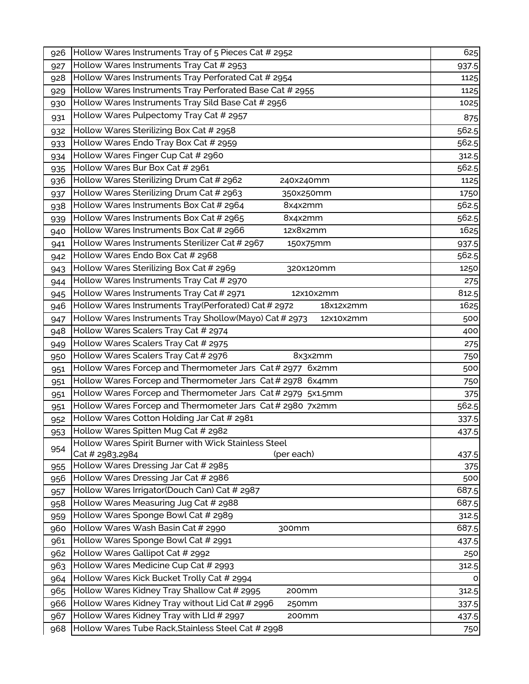| 926        | Hollow Wares Instruments Tray of 5 Pieces Cat # 2952                                 | 625            |
|------------|--------------------------------------------------------------------------------------|----------------|
| 927        | Hollow Wares Instruments Tray Cat # 2953                                             | 937.5          |
| 928        | Hollow Wares Instruments Tray Perforated Cat # 2954                                  | 1125           |
| 929        | Hollow Wares Instruments Tray Perforated Base Cat # 2955                             | 1125           |
| 930        | Hollow Wares Instruments Tray Sild Base Cat # 2956                                   | 1025           |
| 931        | Hollow Wares Pulpectomy Tray Cat # 2957                                              | 875            |
| 932        | Hollow Wares Sterilizing Box Cat # 2958                                              | 562.5          |
| 933        | Hollow Wares Endo Tray Box Cat # 2959                                                | 562.5          |
| 934        | Hollow Wares Finger Cup Cat # 2960                                                   | 312.5          |
| 935        | Hollow Wares Bur Box Cat # 2961                                                      | 562.5          |
| 936        | Hollow Wares Sterilizing Drum Cat # 2962<br>240x240mm                                | 1125           |
| 937        | Hollow Wares Sterilizing Drum Cat # 2963<br>350x250mm                                | 1750           |
| 938        | Hollow Wares Instruments Box Cat # 2964<br>8x4x2mm                                   | 562.5          |
| 939        | Hollow Wares Instruments Box Cat # 2965<br>8x4x2mm                                   | 562.5          |
| 940        | Hollow Wares Instruments Box Cat # 2966<br>12x8x2mm                                  | 1625           |
| 941        | Hollow Wares Instruments Sterilizer Cat # 2967<br>150x75mm                           | 937.5          |
| 942        | Hollow Wares Endo Box Cat # 2968                                                     | 562.5          |
| 943        | Hollow Wares Sterilizing Box Cat # 2969<br>320x120mm                                 | 1250           |
| 944        | Hollow Wares Instruments Tray Cat # 2970                                             | 275            |
| 945        | Hollow Wares Instruments Tray Cat # 2971<br>12x10x2mm                                | 812.5          |
| 946        | Hollow Wares Instruments Tray(Perforated) Cat # 2972<br>18x12x2mm                    | 1625           |
| 947        | Hollow Wares Instruments Tray Shollow(Mayo) Cat # 2973<br>12x10x2mm                  | 500            |
| 948        | Hollow Wares Scalers Tray Cat # 2974                                                 | 400            |
| 949        | Hollow Wares Scalers Tray Cat # 2975                                                 | 275            |
| 950        | Hollow Wares Scalers Tray Cat # 2976<br>8x3x2mm                                      | 750            |
| 951        | Hollow Wares Forcep and Thermometer Jars Cat # 2977 6x2mm                            | 500            |
| 951        | Hollow Wares Forcep and Thermometer Jars Cat # 2978 6x4mm                            | 750            |
| 951        | Hollow Wares Forcep and Thermometer Jars Cat # 2979 5x1.5mm                          | 375            |
| 951        | Hollow Wares Forcep and Thermometer Jars Cat # 2980 7x2mm                            | 562.5          |
| 952        | Hollow Wares Cotton Holding Jar Cat # 2981                                           | 337.5          |
| 953        | Hollow Wares Spitten Mug Cat # 2982                                                  | 437.5          |
| 954        | Hollow Wares Spirit Burner with Wick Stainless Steel                                 |                |
|            | Cat # 2983,2984<br>(per each)                                                        | 437.5          |
| 955        | Hollow Wares Dressing Jar Cat # 2985                                                 | 375            |
| 956        | Hollow Wares Dressing Jar Cat # 2986<br>Hollow Wares Irrigator(Douch Can) Cat # 2987 | 500<br>687.5   |
| 957        | Hollow Wares Measuring Jug Cat # 2988                                                | 687.5          |
| 958        | Hollow Wares Sponge Bowl Cat # 2989                                                  |                |
| 959        | Hollow Wares Wash Basin Cat # 2990<br>300mm                                          | 312.5<br>687.5 |
| 960        | Hollow Wares Sponge Bowl Cat # 2991                                                  |                |
| 961        | Hollow Wares Gallipot Cat # 2992                                                     | 437.5          |
| 962        | Hollow Wares Medicine Cup Cat # 2993                                                 | 250<br>312.5   |
| 963<br>964 | Hollow Wares Kick Bucket Trolly Cat # 2994                                           | 0              |
| 965        | Hollow Wares Kidney Tray Shallow Cat # 2995<br>200mm                                 | 312.5          |
|            | Hollow Wares Kidney Tray without Lid Cat # 2996<br>250mm                             |                |
| 966        | Hollow Wares Kidney Tray with LId # 2997<br>200mm                                    | 337.5          |
| 967        | Hollow Wares Tube Rack, Stainless Steel Cat # 2998                                   | 437.5          |
| 968        |                                                                                      | 750            |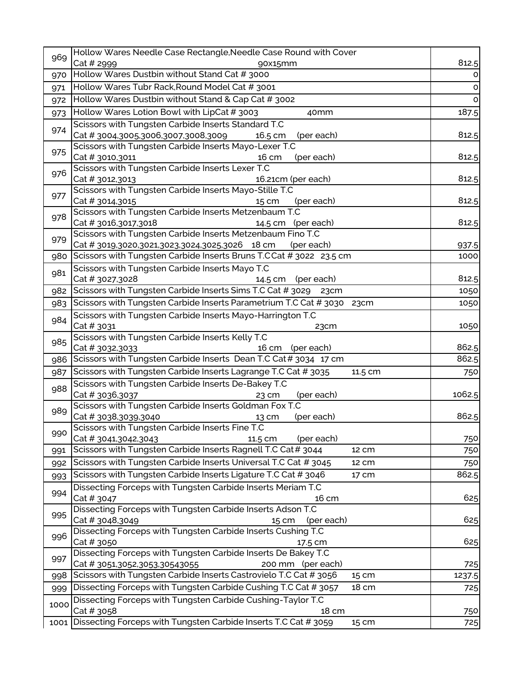| 969  | Hollow Wares Needle Case Rectangle, Needle Case Round with Cover                                                    |               |
|------|---------------------------------------------------------------------------------------------------------------------|---------------|
|      | Cat # 2999<br>90x15mm                                                                                               | 812.5         |
| 970  | Hollow Wares Dustbin without Stand Cat # 3000                                                                       | 0             |
| 971  | Hollow Wares Tubr Rack, Round Model Cat # 3001                                                                      | $\circ$       |
| 972  | Hollow Wares Dustbin without Stand & Cap Cat # 3002                                                                 | O             |
| 973  | Hollow Wares Lotion Bowl with LipCat # 3003<br>40 <sub>mm</sub>                                                     | 187.5         |
|      | Scissors with Tungsten Carbide Inserts Standard T.C                                                                 |               |
| 974  | Cat #3004,3005,3006,3007,3008,3009<br>16.5 cm<br>(per each)                                                         | 812.5         |
|      | Scissors with Tungsten Carbide Inserts Mayo-Lexer T.C                                                               |               |
| 975  | Cat # 3010,3011<br>16 cm<br>(per each)                                                                              | 812.5         |
| 976  | Scissors with Tungsten Carbide Inserts Lexer T.C                                                                    |               |
|      | Cat # 3012,3013<br>16.21cm (per each)                                                                               | 812.5         |
| 977  | Scissors with Tungsten Carbide Inserts Mayo-Stille T.C                                                              |               |
|      | Cat # 3014,3015<br>(per each)<br>15 cm                                                                              | 812.5         |
| 978  | Scissors with Tungsten Carbide Inserts Metzenbaum T.C                                                               | 812.5         |
|      | Cat # 3016,3017,3018<br>14.5 cm (per each)<br>Scissors with Tungsten Carbide Inserts Metzenbaum Fino T.C            |               |
| 979  | Cat # 3019,3020,3021,3023,3024,3025,3026 18 cm<br>(per each)                                                        | 937.5         |
| 980  | Scissors with Tungsten Carbide Inserts Bruns T.CCat # 3022 23.5 cm                                                  | 1000          |
|      | Scissors with Tungsten Carbide Inserts Mayo T.C                                                                     |               |
| 981  | Cat # 3027,3028<br>14.5 cm (per each)                                                                               | 812.5         |
| 982  | Scissors with Tungsten Carbide Inserts Sims T.C Cat # 3029 23cm                                                     | 1050          |
| 983  | Scissors with Tungsten Carbide Inserts Parametrium T.C Cat # 3030 23cm                                              | 1050          |
|      | Scissors with Tungsten Carbide Inserts Mayo-Harrington T.C                                                          |               |
| 984  | Cat # 3031<br>23cm                                                                                                  | 1050          |
|      | Scissors with Tungsten Carbide Inserts Kelly T.C                                                                    |               |
| 985  | Cat # 3032,3033<br>16 cm<br>(per each)                                                                              | 862.5         |
| 986  | Scissors with Tungsten Carbide Inserts Dean T.C Cat # 3034 17 cm                                                    | 862.5         |
| 987  | Scissors with Tungsten Carbide Inserts Lagrange T.C Cat # 3035<br>11.5 cm                                           | 750           |
|      | Scissors with Tungsten Carbide Inserts De-Bakey T.C                                                                 |               |
| 988  | Cat # 3036,3037<br>(per each)<br>23 cm                                                                              | 1062.5        |
|      | Scissors with Tungsten Carbide Inserts Goldman Fox T.C                                                              |               |
| 989  | Cat # 3038,3039,3040<br>(per each)<br>13 cm                                                                         | 862.5         |
| 990  | Scissors with Tungsten Carbide Inserts Fine T.C                                                                     |               |
|      | Cat # 3041,3042,3043<br>11.5 cm<br>(per each)                                                                       | 750           |
| 991  | Scissors with Tungsten Carbide Inserts Ragnell T.C Cat# 3044<br>12 cm                                               | 750           |
| 992  | Scissors with Tungsten Carbide Inserts Universal T.C Cat # 3045<br>12 cm                                            | 750           |
| 993  | Scissors with Tungsten Carbide Inserts Ligature T.C Cat # 3046<br>17 cm                                             | 862.5         |
| 994  | Dissecting Forceps with Tungsten Carbide Inserts Meriam T.C                                                         |               |
|      | Cat # 3047<br>16 cm                                                                                                 | 625           |
| 995  | Dissecting Forceps with Tungsten Carbide Inserts Adson T.C                                                          |               |
|      | Cat # 3048,3049<br>(per each)<br>15 cm                                                                              | 625           |
| 996  | Dissecting Forceps with Tungsten Carbide Inserts Cushing T.C                                                        |               |
|      | Cat # 3050<br>17.5 cm                                                                                               | 625           |
| 997  | Dissecting Forceps with Tungsten Carbide Inserts De Bakey T.C<br>Cat # 3051,3052,3053,30543055<br>200 mm (per each) |               |
|      | Scissors with Tungsten Carbide Inserts Castrovielo T.C Cat # 3056<br>15 cm                                          | 725<br>1237.5 |
| 998  | Dissecting Forceps with Tungsten Carbide Cushing T.C Cat # 3057<br>18 cm                                            |               |
| 999  |                                                                                                                     | 725           |
| 1000 | Dissecting Forceps with Tungsten Carbide Cushing-Taylor T.C<br>Cat # 3058<br>18 cm                                  |               |
| 1001 | Dissecting Forceps with Tungsten Carbide Inserts T.C Cat # 3059<br>15 cm                                            | 750<br>725    |
|      |                                                                                                                     |               |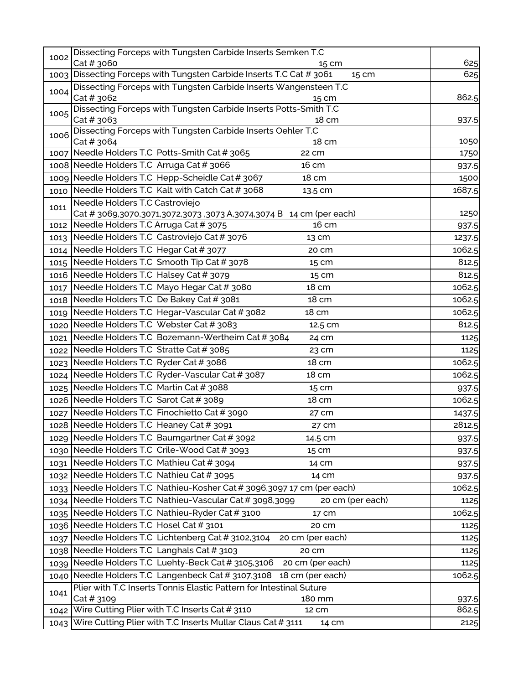| 1002 | Dissecting Forceps with Tungsten Carbide Inserts Semken T.C                                           |        |
|------|-------------------------------------------------------------------------------------------------------|--------|
|      | Cat # 3060<br>15 cm                                                                                   | 625    |
|      | 1003 Dissecting Forceps with Tungsten Carbide Inserts T.C Cat # 3061<br>15 cm                         | 625    |
| 1004 | Dissecting Forceps with Tungsten Carbide Inserts Wangensteen T.C<br>Cat # 3062<br>15 cm               | 862.5  |
| 1005 | Dissecting Forceps with Tungsten Carbide Inserts Potts-Smith T.C                                      |        |
|      | Cat # 3063<br>18 cm                                                                                   | 937.5  |
| 1006 | Dissecting Forceps with Tungsten Carbide Inserts Oehler T.C                                           |        |
|      | Cat # 3064<br>18 cm                                                                                   | 1050   |
|      | 1007 Needle Holders T.C Potts-Smith Cat # 3065<br>22 cm                                               | 1750   |
|      | 1008 Needle Holders T.C Arruga Cat # 3066<br>16 cm                                                    | 937.5  |
|      | 1009 Needle Holders T.C Hepp-Scheidle Cat # 3067<br>18 cm                                             | 1500   |
|      | 1010 Needle Holders T.C Kalt with Catch Cat # 3068<br>13.5 cm                                         | 1687.5 |
| 1011 | Needle Holders T.C Castroviejo<br>Cat # 3069,3070,3071,3072,3073 ,3073 A,3074,3074 B 14 cm (per each) | 1250   |
|      | 1012 Needle Holders T.C Arruga Cat # 3075<br>16 cm                                                    | 937.5  |
|      | 1013 Needle Holders T.C Castroviejo Cat # 3076<br>13 cm                                               | 1237.5 |
|      | 1014 Needle Holders T.C Hegar Cat # 3077<br>20 cm                                                     | 1062.5 |
|      | 1015 Needle Holders T.C Smooth Tip Cat # 3078<br>15 cm                                                | 812.5  |
|      | 1016 Needle Holders T.C Halsey Cat # 3079<br>15 cm                                                    | 812.5  |
| 1017 | Needle Holders T.C Mayo Hegar Cat # 3080<br>18 cm                                                     | 1062.5 |
|      | 1018 Needle Holders T.C De Bakey Cat # 3081<br>18 cm                                                  | 1062.5 |
|      | 1019 Needle Holders T.C Hegar-Vascular Cat # 3082<br>18 cm                                            | 1062.5 |
|      | 1020 Needle Holders T.C Webster Cat # 3083<br>12.5 cm                                                 | 812.5  |
| 1021 | Needle Holders T.C Bozemann-Wertheim Cat # 3084<br>24 cm                                              | 1125   |
|      | 1022 Needle Holders T.C Stratte Cat # 3085<br>23 cm                                                   | 1125   |
|      | 1023 Needle Holders T.C Ryder Cat # 3086<br>18 cm                                                     | 1062.5 |
|      | 1024 Needle Holders T.C Ryder-Vascular Cat # 3087<br>18 cm                                            | 1062.5 |
|      | 1025 Needle Holders T.C Martin Cat # 3088<br>15 cm                                                    | 937.5  |
|      | 1026 Needle Holders T.C Sarot Cat # 3089<br>18 cm                                                     | 1062.5 |
|      | 1027 Needle Holders T.C Finochietto Cat # 3090<br>27 cm                                               | 1437.5 |
|      | 1028 Needle Holders T.C Heaney Cat # 3091<br>27 cm                                                    | 2812.5 |
|      | 1029 Needle Holders T.C Baumgartner Cat # 3092<br>14.5 cm                                             | 937.5  |
|      | 1030 Needle Holders T.C Crile-Wood Cat # 3093<br>15 cm                                                | 937.5  |
|      | 1031 Needle Holders T.C Mathieu Cat # 3094<br>14 cm                                                   | 937.5  |
|      | 1032 Needle Holders T.C Nathieu Cat # 3095<br>14 cm                                                   | 937.5  |
|      | 1033 Needle Holders T.C Nathieu-Kosher Cat # 3096,3097 17 cm (per each)                               | 1062.5 |
|      | 1034 Needle Holders T.C Nathieu-Vascular Cat # 3098,3099<br>20 cm (per each)                          | 1125   |
|      | 1035 Needle Holders T.C Nathieu-Ryder Cat # 3100<br>17 cm                                             | 1062.5 |
|      | 1036 Needle Holders T.C Hosel Cat # 3101<br>20 cm                                                     | 1125   |
|      | 1037 Needle Holders T.C Lichtenberg Cat # 3102,3104<br>20 cm (per each)                               | 1125   |
|      | 1038   Needle Holders T.C Langhals Cat # 3103<br>20 cm                                                | 1125   |
|      | 1039 Needle Holders T.C Luehty-Beck Cat # 3105,3106<br>20 cm (per each)                               | 1125   |
|      | 1040 Needle Holders T.C Langenbeck Cat # 3107,3108<br>18 cm (per each)                                | 1062.5 |
| 1041 | Plier with T.C Inserts Tonnis Elastic Pattern for Intestinal Suture                                   |        |
|      | Cat # 3109<br>180 mm                                                                                  | 937.5  |
| 1042 | Wire Cutting Plier with T.C Inserts Cat # 3110<br>12 cm                                               | 862.5  |
| 1043 | Wire Cutting Plier with T.C Inserts Mullar Claus Cat # 3111<br>14 cm                                  | 2125   |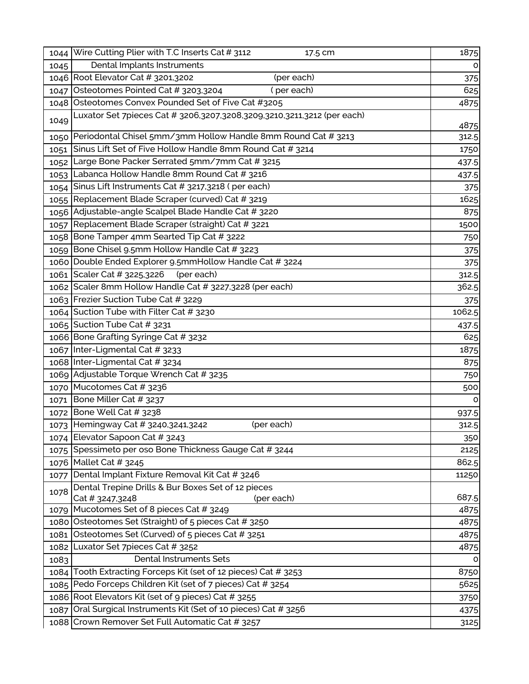| 1044 | Wire Cutting Plier with T.C Inserts Cat # 3112<br>17.5 cm                           | 1875   |
|------|-------------------------------------------------------------------------------------|--------|
| 1045 | Dental Implants Instruments                                                         | 0      |
|      | 1046 Root Elevator Cat # 3201,3202<br>(per each)                                    | 375    |
| 1047 | Osteotomes Pointed Cat # 3203,3204<br>(per each)                                    | 625    |
|      | 1048 Osteotomes Convex Pounded Set of Five Cat #3205                                | 4875   |
| 1049 | Luxator Set 7pieces Cat # 3206,3207,3208,3209,3210,3211,3212 (per each)             | 4875   |
|      | 1050 Periodontal Chisel 5mm/3mm Hollow Handle 8mm Round Cat # 3213                  | 312.5  |
| 1051 | Sinus Lift Set of Five Hollow Handle 8mm Round Cat # 3214                           | 1750   |
| 1052 | Large Bone Packer Serrated 5mm/7mm Cat # 3215                                       | 437.5  |
| 1053 | Labanca Hollow Handle 8mm Round Cat # 3216                                          | 437.5  |
| 1054 | Sinus Lift Instruments Cat # 3217,3218 (per each)                                   | 375    |
| 1055 | Replacement Blade Scraper (curved) Cat # 3219                                       | 1625   |
|      | 1056 Adjustable-angle Scalpel Blade Handle Cat # 3220                               | 875    |
| 1057 | Replacement Blade Scraper (straight) Cat # 3221                                     | 1500   |
| 1058 | Bone Tamper 4mm Searted Tip Cat # 3222                                              | 750    |
| 1059 | Bone Chisel 9.5mm Hollow Handle Cat # 3223                                          | 375    |
|      | 1060 Double Ended Explorer 9.5mmHollow Handle Cat # 3224                            | 375    |
|      | (per each)<br>1061 Scaler Cat # 3225,3226                                           | 312.5  |
|      | 1062 Scaler 8mm Hollow Handle Cat # 3227,3228 (per each)                            | 362.5  |
|      | 1063 Frezier Suction Tube Cat # 3229                                                | 375    |
|      | 1064 Suction Tube with Filter Cat # 3230                                            | 1062.5 |
|      | 1065 Suction Tube Cat # 3231                                                        | 437.5  |
|      | 1066 Bone Grafting Syringe Cat # 3232                                               | 625    |
|      | 1067 Inter-Ligmental Cat # 3233                                                     | 1875   |
|      | 1068 Inter-Ligmental Cat # 3234                                                     | 875    |
|      | 1069 Adjustable Torque Wrench Cat # 3235                                            | 750    |
|      | 1070 Mucotomes Cat # 3236                                                           | 500    |
| 1071 | Bone Miller Cat # 3237                                                              | O      |
| 1072 | Bone Well Cat # 3238                                                                | 937.5  |
| 1073 | Hemingway Cat # 3240,3241,3242<br>(per each)                                        | 312.5  |
|      | 1074 Elevator Sapoon Cat # 3243                                                     | 350    |
| 1075 | Spessimeto per oso Bone Thickness Gauge Cat # 3244                                  | 2125   |
|      | 1076 Mallet Cat # 3245                                                              | 862.5  |
| 1077 | Dental Implant Fixture Removal Kit Cat # 3246                                       | 11250  |
| 1078 | Dental Trepine Drills & Bur Boxes Set of 12 pieces<br>Cat # 3247,3248<br>(per each) | 687.5  |
| 1079 | Mucotomes Set of 8 pieces Cat # 3249                                                | 4875   |
|      | 1080 Osteotomes Set (Straight) of 5 pieces Cat # 3250                               | 4875   |
| 1081 | Osteotomes Set (Curved) of 5 pieces Cat # 3251                                      | 4875   |
| 1082 | Luxator Set 7pieces Cat # 3252                                                      | 4875   |
| 1083 | <b>Dental Instruments Sets</b>                                                      | o      |
| 1084 | Tooth Extracting Forceps Kit (set of 12 pieces) Cat # 3253                          | 8750   |
|      | 1085 Pedo Forceps Children Kit (set of 7 pieces) Cat # 3254                         | 5625   |
|      | 1086 Root Elevators Kit (set of 9 pieces) Cat # 3255                                | 3750   |
| 1087 | Oral Surgical Instruments Kit (Set of 10 pieces) Cat # 3256                         | 4375   |
|      | 1088 Crown Remover Set Full Automatic Cat # 3257                                    | 3125   |